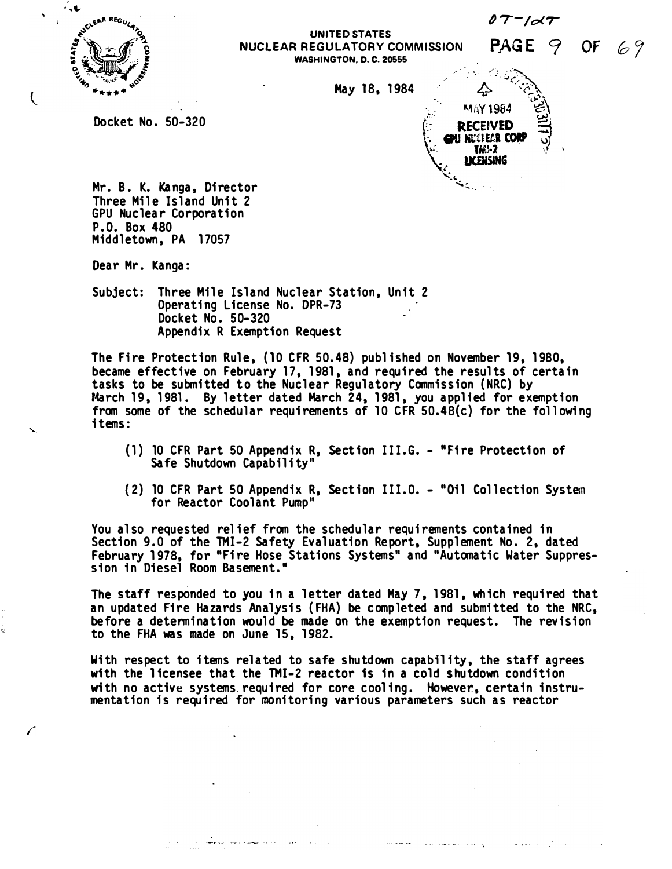$\partial$   $7$   $\prime$   $\sigma$   $7$ 

PAGE 9

 $\mathcal{L} \mathcal{L}$ 

**MAY 1984 RECEIVED PU NUCLEAR CORF TM-2 LICENSING** 

نغريه

OF  $69$ 



I

 $\langle$ 

#### UNITED STATES NUCLEAR REGULATORY COMMISSION WASHINGTON, D. C. 20555

May 18, 1984

Docket No. 50-320

Mr. B. K. Kanga, Director Three Mile Island Unit 2 GPU Nuclear Corporation P.O. Box 480

المهمون وتوارد الموضوع

Dear Mr. Kanga:

Middletown, PA 17057

Subject: Three Mile Island Nuclear Station, Unit 2 Operating License No. DPR-73 · Docket No. 50-320 Appendix R Exemption Request

The Fire Protection Rule, (10 CFR 50.48) published on November 19, 1980, became effective on February 17, 1981, and required the results of certain tasks to be submitted to the Nuclear Regulatory Commission (NRC) by March 19, 1981. By letter dated March 24, 1981, you applied for exemption from some of the schedular requirements of 10 CFR 50.48(c) for the following i tems:

- (1) 10 CFR Part 50 Appendix R, Section III.G. "Fire Protection of Safe Shutdown Capability"
- (2) 10 CFR Part 50 Appendix R, Section III.0. "Oil Collection System for Reactor Coolant Pump"

You also requested relief from the schedular requirements contained in Section 9.0 of the TMI-2 Safety Evaluation Report, Supplement No. 2, dated February 1 978, for "Fi re Hose Stations Systems" and "Automatic Water Suppression in Diesel Room Bas<mark>ement."</mark>

The staff responded to you in a letter dated May 7, 1981, which required that an updated Fire Hazards Analysis (FHA) be completed and submitted to the NRC, before a determination would be made on the exemption request. The revision to the FHA was made on June 15, 1982.

With respect to items related to safe shutdown capability, the staff agrees with the licensee that the TMI-2 reactor is in a cold shutdown condition with no active systems, required for core cooling. However, certain instrumentation is required for monitoring various parameters such as reactor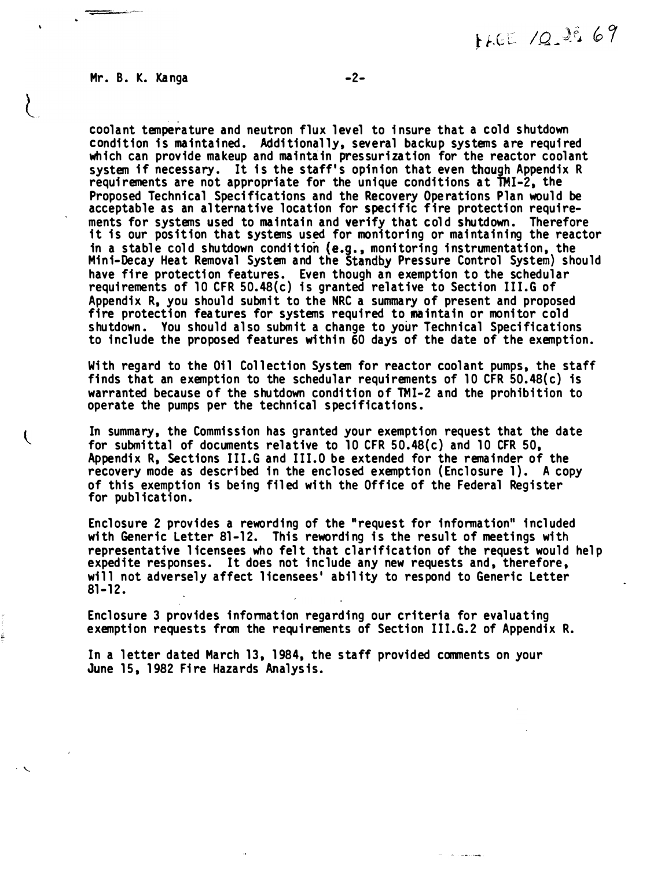#### Mr. B. K. Kanga -2-

· '-..

 $\overline{\mathcal{L}}$ 

coolant temperature and neutron flux level to insure that a cold shutdown condition is maintained. Additionally, several backup systems are required which can provide makeup and maintain pressurization for the reactor coolant system if necessary. It is the staff's opinion that even though Appendix R requirements are not appropriate for the unique conditions at TMI-2, the Proposed Technical Specifications and the Recovery Operations Plan would be acceptable as an alternative location for specific fire protection requirements for systems used to maintain and verify that cold shutdown. Therefore it is our position that systems used for monitoring or maintaining the reactor in a stable cold shutdown condition (e.g., monitoring instrumentation, the Mini-Decay Heat Removal System and the Standby Pressure Control System} should have fire protection features. Even though an exemption to the schedular requi rements of 10 CFR 50. 48(c) is granted relat ive to Section III.G of Appendix R, you should submit to the NRC a summary of present and proposed fire protection features for systems required to maintain or monitor cold shutdown. You should also submit a change to your Technical Specifications to include the proposed features within 60 days of the date of the exemption.

With regard to the Oil Collection System for reactor coolant pumps, the staff finds that an exemption to the schedular requirements of 10 CFR  $50.48(c)$  is warranted because of the shutdown condition of TMI-2 and the prohibition to operate the pumps per the technical specifications.

In summary, the Commission has granted your exemption request that the date for submittal of documents relative to 10 CFR 50.48(c) and 10 CFR 50. Appendix R, Sections III.G and III.O be extended for the remainder of the recovery mode as described in the enclosed exemption ( Enclosure 1). A copy of this exemption is being filed with the Office of the Federal Register for publ ication.

Enclosure 2 provides a rewording of the "request for information" included with Generic Letter 81-12. This rewording is the result of meetings with representative licensees who felt that clarification of the request would help expedite responses. It does not include any new requests and, therefore, will not adversely affect licensees' ability to respond to Generic Letter  $81 - 12.$ 

Enclosure 3 provides information regarding our criteria for evaluating exemption requests from the requirements of Section III.G.2 of Appendix R.

In a letter dated March 13, 1984, the staff provided comments on your June 15, 1982 Fire Hazards Analysis.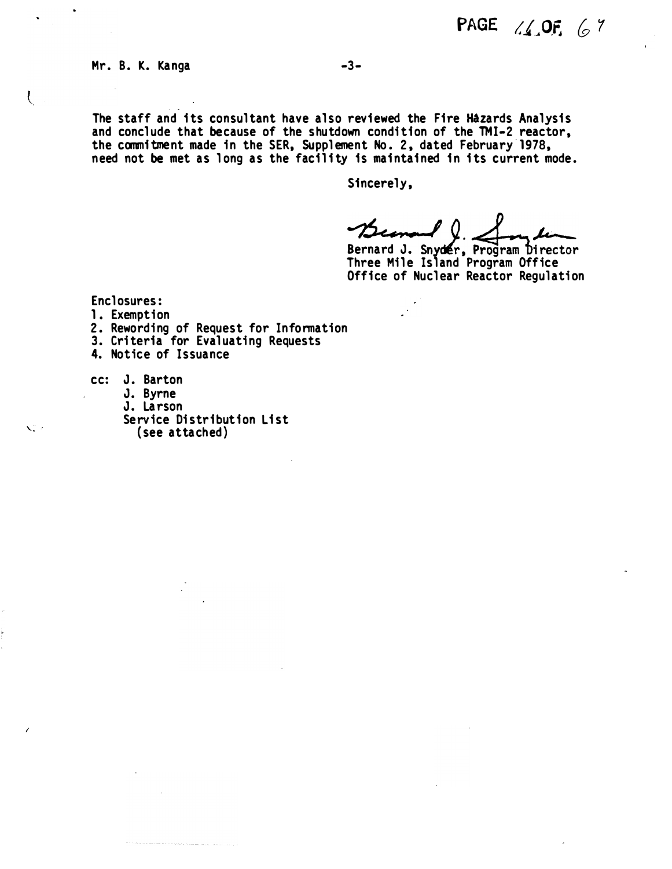#### Mr. B. K. Kanga

The staff and its consultant have also reviewed the Fire Hazards Analysis and conclude that because of the shutdown condition of the TMI-2 reactor, the commitment made in the SER, Supplement No. 2, dated February-1978, need not be met as long as the facility is maintained in its current mode.

Sincerely,

 $\ell$  ()  $J_{\rm m}$  time

Bernard J. Snyder, Program Director Three Mile Island Program Office Office of Nuclear Reactor Regulation

Enclosures:

- 1. Exemption
- 2. Rewording of Request for Information
- 3. Criteria for Evaluating Requests

4. Notice of Issuance

cc: J. Barton

'· . '

 $\overline{\mathcal{L}}$ 

I

- J. Byrne
- J. Larson

Service Distribution List ( see attached)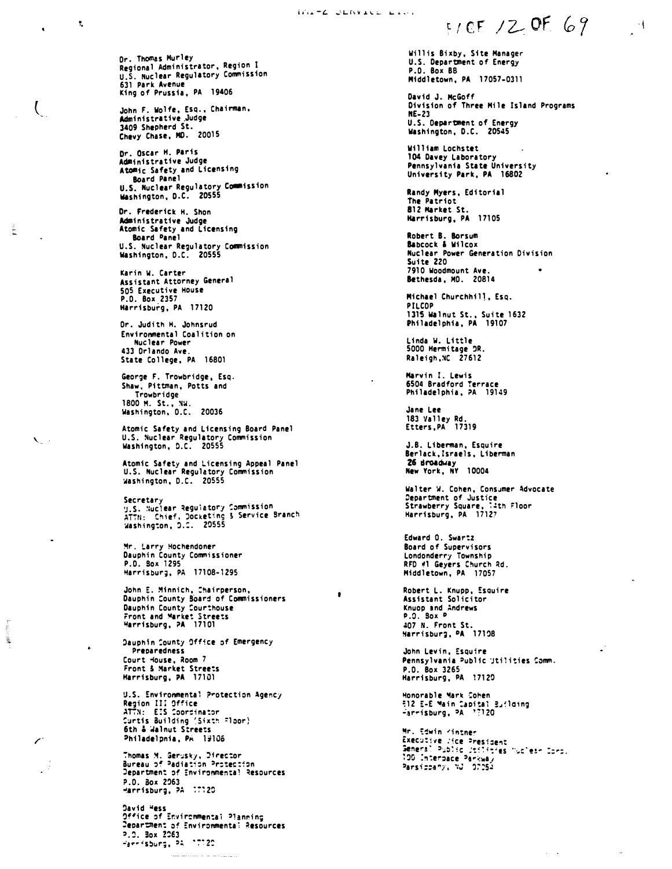Or. Thomas Murley Regional Administrator, Region <sup>1</sup> u.s. Nuclear Regulatory Commission 631 Park Avenue King of Prussia, PA 19406

John F. Wolfe, Esq., Chairman, Administrative .Judge 3409 Shepherd St. Chevy Chase, MO. 20015

 $\overline{(\ }$ 

 $\sim 10^{-10}$ 

,.

**AND** 

 $\mathbf{V}$ 

 $\ddot{\phantom{0}}$ 

Or. Oscar H. Paris Administrative Judge Atomic Safety and Licensing Board Panel U.S. Nuclear Regulatory Commission washington, D.C. 20555

Or. Frederick H. Shon Administrative Judge Atomic Safety and Licensing Board Danel U.S. Nuclear Regulatory Commission washington, D.C. 20555

Karin W. Carter Assistant Attorney General 505 Executive House P.O. Box 2357 Kerrisburg, PA 17120

Or. Judith H. Johnsrud Environmental Coalition on Nuel ear Power 433 Orlando Ave. State College, PA 16801

George F. Trowbridge, Esq. Shaw, Pittman, Potts and Trowbridge 1800 M. St., �W. washington, O.C. 20036

Atomic Safety and Licensing Board Panel u.s. Nuclear Regulatory Commission Washington, D.C. 20555

Atomic Safety and Licensing Appeal Panel u.s. Nuclear Regulatory Commission washington, D.C. 20555

Secretary<br>y.S. Wuclear Reguiatory Commission<br>ATTN: "Chief, Docketing & Service Branch" Washington, D.<del>.</del>. 20555

Mr. Larry Hochendoner Dauphin County Commissioner P.D. Box 1295 Harrisbur;, PA 17108·1295

John E. Minnich, Chairperson, Dauphin :ounty SOard of Commissioners Dauphin County �ourthouse rront and �arket Streets �arrisburg, ?A 17101

Dauphin County Office of Emergency Preoaredness Court House, Room 7 Front & �arket Streets Harrisburg, PA 17101

U.S. Environmental Protection Agency Region III Office<br>ATTN: EIS Coordinator Surtis Building (Sixth ≘loor)<br>6th & Walnut Streets Philadelpnia, PA 19106

Thomas M. Serusky, Director<br>Bureau of Padiation Protection Jepartment of Environmenta! Resources P.O. Box 2063 -arrisbur;, �A :��20

Oavid wess Office of Environmental Planning Department of Environmental Resources :>.:J. 3ox 2:!63 �a�p�s�ur;, '� ·��2: .<br>1970 - La componentat de la Carlo de Carlo de Carlo de la carlo de la carlo de la carlo de la carlo de la car

Willis Bixby, Site Manager U.S. Department of Energy P.O. Box BB Middletown, PA 17057-0311

David J. McGoff Division of Three Mile Island Programs NE-23 U.S. Department of Energy<br>Washington, D.C. 20545

William Lochstet 104 Davey Laboratory Pennsylvania State University University Park, PA 16802

Randy Myers, Editorial The Patriot 812 Market St. Kerrisburg, PA 17105

Robert B. Borsum Babcock & Wilcox Nuclear Power Generation Division Suite 220 7910 Woodmount Ave. Bethesda, MO. 20814

Michael Churchhil1, Esq. PILCOP 1315 walnut St., Suite 1632 Philadelphia, PA 19107

Linda w. Little 5000 Hermitage �R. Raleigh.�C 27612

Marvin I. Lewis 6504 Bradford Terrace Philadelphia, ?A 19149

Jane Lee 183 Valley Rd. Etters,PA 17319

J.B. Liberman, Esquire Berlack,Israe1s, Liberman 26 sroadway<br>New York, NY 10004

Walter W. Cohen, Consumer Advocate Department of Justice<br>Strawberry Square, 14th Floor<br>Harrisburg, PA | 17127

Edward 0. Swartz Board of Supervisors Londonderry Township RFD �1 Geyers Church �d. Middletown, PA 17057

Robert L. Knupp, Esquire<br>Assistant Solicitor Knuop snd �ndrews  $P.0.$  Box  $P$ 407 N. Front St. Harrisburg, PA 17108

John Levin, Esquire Pennsylvania Public Utilities Comm. P.O. Box 3265 Harrisburg, PA 17120

Honorable �ar� Cohen 512 E-E Main Capital Bufloing<br>-arrisburg, PA -17120

Mr. �:win 'intner Executive /ice President Gemeral Public Jtilit<sup>2</sup>es "uclear Coro.<br>190 Interpace Parkway<br>Parsippahy, NJ -97054

 $\omega = \omega$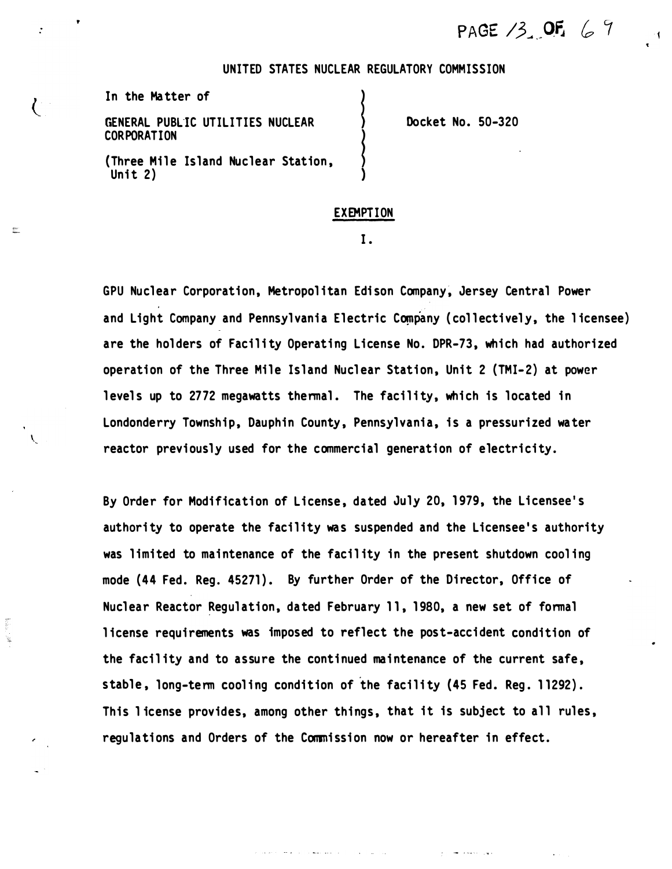PAGE  $13.$  OF  $67$ 

#### UNITED STATES NUCLEAR REGULATORY COMMISSION

}<br>}<br>}<br>}

In the Matter of

 $\binom{1}{k}$ 

 $\mathbb{R}^{n+1}$ 

GENERAL PUBLIC UTILITIES NUCLEAR CORPORATION

(Three Mile Island Nuclear Station, Unit 2)

Docket No. 50-320

#### EXEMPTION

)

I.

GPU Nuclear Corporation, Metropolitan Edison Company, Jersey Central Power and Light Company and Pennsylvania Electric Company (collectively, the licensee) are the holders of Facility Operating License No. DPR-73, which had authorized operation of the Three Mile Island Nuclear Station, Unit 2 (TMI-2) at power levels up to 2772 megawatts thermal. The facility, which is located in Londonderry Township, Dauphin County, Pennsylvania, is a pressurized water reactor previously used for the commercial generation of electricity.

By Order for Modification of License, dated July 20, 1979, the Licensee's authority to operate the facility was suspended and the Licensee 's authority was limited to maintenance of the facil ity in the present shutdown cool ing mode (44 Fed. Req. 45271). By further Order of the Director, Office of Nuclear Reactor Regulation, dated February 11, 1980, a new set of formal l icense requirements was imposed to reflect the pos t-accident condition of the facil ity and to assure the continued maintenance of the current safe , stable, long-term cooling condition of the facility (45 Fed. Reg. 11292). This license provides, among other things, that it is subject to all rules, regulations and Orders of the Commission now or hereafter in effect.

**ALL SEE IN**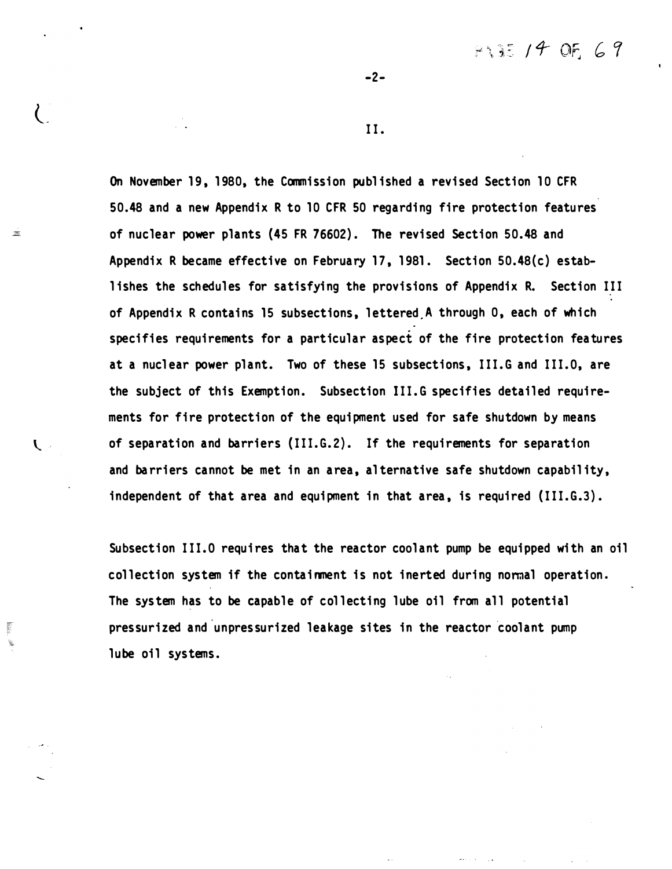$7.37 / 4$  OF 69

II.

-2-

On November 19, 1980, the Commission publ ished a revised Section 10 CFR 50.48 and a new Appendix R to 10 CFR 50 regarding fire protection features of nuclear power plants (45 FR 76602). The revised Section 50.48 and Appendix R became effective on February 17, 1981. Section 50.48(c) establishes the schedules for satisfying the provisions of Appendix R. Section III of Appendix R contains 15 subsections, lettered A through 0, each of which specifies requirements for a particular aspect of the fire protection features at a nucl ear power plant. Two of these 15 subsections, III.G and III.O, are the subject of this Exemption. Subsection III.G specifies detailed requirements for fire protection of the equipment used for safe shutdown by means of separation and barriers (III.G.2). If the requirements for separation and barriers cannot be met in an area, alternative safe shutdown capability, independent of that area and equipment in that area, is required (III.G.3).

 $\frac{1}{2}$ 

 $\mathbf{U}$ 

2002年10月

Subsection III.0 requires that the reactor coolant pump be equipped with an oil collection system if the containment is not inerted during normal operation. The system has to be capable of collecting lube oil from all potential pressurized and unpressurized leakage sites in the reactor coolant pump . lube oil systems.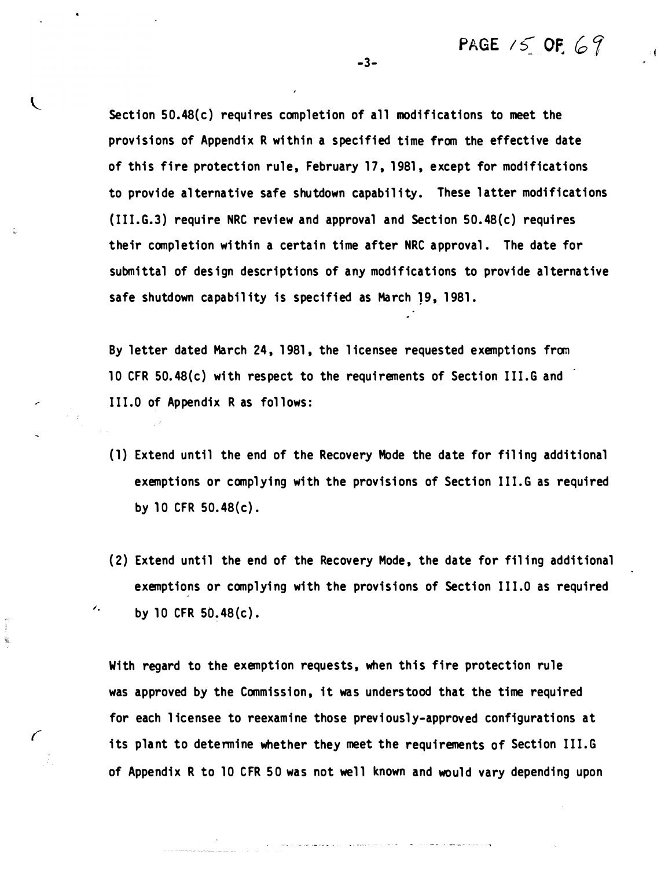PAGE  $15$  OF. 69

 $\pm 1$ 

Section  $50.48(c)$  requires completion of all modifications to meet the provisions of Appendix R within a specified time from the effective date of this fire protection rule, February 17, 1981, except for modifications to provide alternative safe shutdown capability. These latter modifications (111.G.3) require NRC review and approval and Section 50 . 48(c) requires their completion within a certain time after NRC approval. The date for submittal of design descriptions of any modifications to provide alternative safe shutdown capability is specified as March 19, 1981.

By letter dated March 24, 1981, the licensee requested exemptions from 10 CFR 50.48(c) with respect to the requirements of Section III.G and 111.0 of Appendix R as fol lows:

- (1) Extend until the end of the Recovery Mode the date for fil ing additional exemptions or complying with the provisions of Section III.G as required by 10 CFR 50. 48(c) .
- (2) Extend until the end of the Recovery Mode, the date for filing additional exemptions or complying with the provisions of Section III.0 as required by 10 CFR  $50.48(c)$ .

With regard to the exemption requests, when this fire protection rule was approved by the Commission, it was understood that the time required for each licensee to reexamine those previously-approved configurations at its plant to determine whether they meet the requirements of Section 111.G of Appendix R to 10 CFR 50 was not well known and would vary depending upon

-3-

 $\sqrt{2}$ 

 $\prime.$ 

Ý.

 $\sqrt{ }$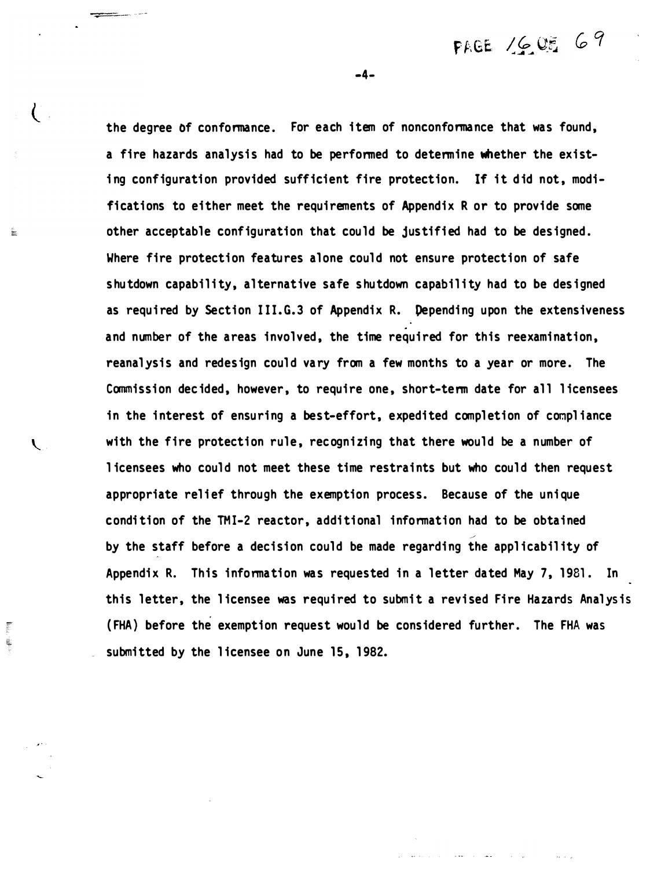the degree of conformance. For each item of nonconformance that was found, a fire hazards analysis had to be performed to determine whether the existing configuration provided sufficient fire protection. If it did not, modifications to either meet the requirements of Appendix R or to provide some other acceptable configuration that could be justified had to be designed. Where fire protection features alone could not ensure protection of safe shutdown capability, al ternative safe shu tdown capabil ity had to be designed as required by Section III.G.3 of Appendix R. Depending upon the extensiveness and number of the areas involved, the time required for this reexamination, reanalysis and redesign could vary from a few months to a year or more. The Commission decided, however, to require one, short-term date for all licensees in the interest of ensuring a best-effort, expedited completion of compliance with the fire protection rule, recognizing that there would be a number of l icensees who could not meet these time restraints but who could then request appropriate relief through the exemption process. Because of the unique condi tion of the TMI-2 reactor, addi tional information had to be obtained by the staff before a decision could be made regarding the applicability of Appendix R. This information was requested in a letter dated May 7, 1981. In this letter, the licensee was required to submit a revised Fire Hazards Analysis ( FHA} before the exemption request would be considered further. The FHA was submitted by the licensee on June 15, 1982.

-4-

 $\left\langle \right\rangle$ 

 $\mathbf{L}$ 

 $\frac{1}{2}$ Ļ

뜷

FAGE 1605 69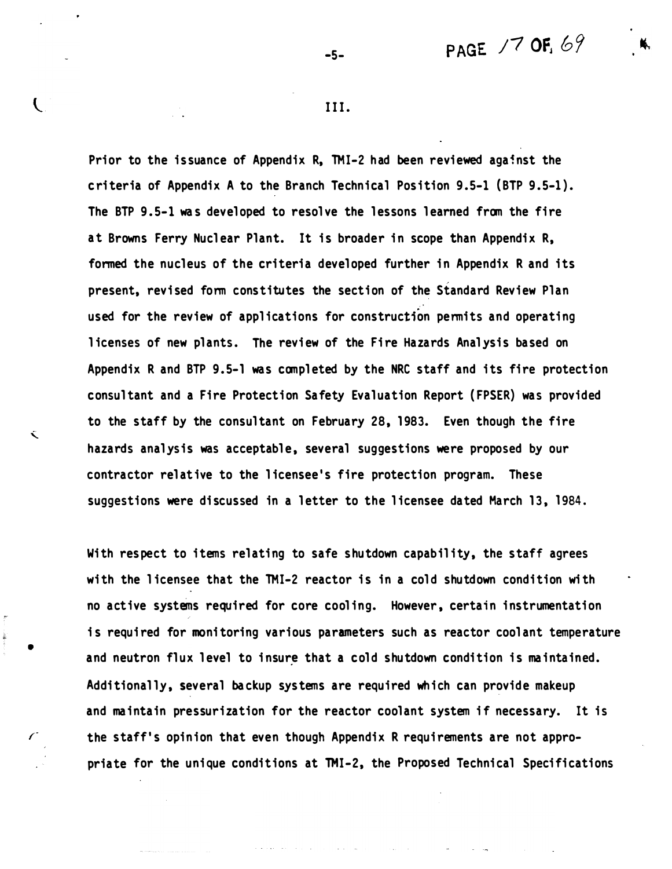# PAGE /7 OF.  $69$

III.

-5-

Prior to the issuance of Appendix R, TMI-2 had been reviewed against the c ri teria of Appendix A to the Branch Technical Position 9 .5-1 (BTP 9.5-1). The BTP 9.5-1 was developed to resolve the lessons learned from the fire at Browns Ferry Nuclear Plant. It is broader in scope than Appendix R, formed the nucleus of the criteria developed further in Appendix R and its present, revised form constitutes the section of the Standard Review Plan used for the review of applications for construction permits and operating licenses of new plants. The review of the Fire Hazards Analysis based on Appendix R and BTP 9.5-1 was completed by the NRC staff and its fire protection consultant and a Fire Protection Safety Evaluation Report (FPSER) was provided to the staff by the consultant on February 28, 1983. Even though the fire hazards analysis was acceptable, several suggestions were proposed by our contractor relat ive to the licensee 's fire protection program. These suggestions were discussed in a letter to the licensee dated March 13, 1984.

With respect to items relating to safe shutdown capability, the staff agrees with the licensee that the TMI-2 reactor is in a cold shutdown condition with no active systems required for core cooling. However, certain instrumentation is required for monitoring various parameters such as reactor coolant temperature and neutron flux level to insure that a cold shutdown condition is maintained. Addi tionally, several ba ckup systems are required which can provide makeup and maintain pressurization for the reactor coolant system if necessary. It is the staff's opinion that even though Appendix R requirements are not appropriate for the unique conditions at TMI-2, the Proposed Technical Specifications

•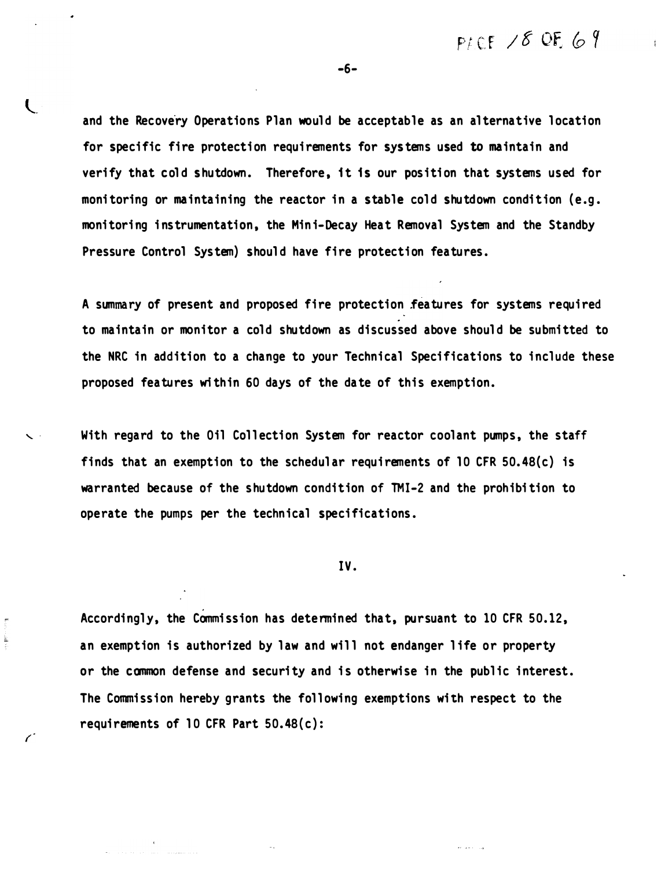PLCE  $/8$  OF 69

-6-

and the Recovery Operations Plan would be acceptable as an alternative location for specific fire protection requirements for systems used to maintain and verify that cold shutdown. Therefore, it is our position that systems used for monitoring or maintaining the reactor in a stable cold shutdown condition (e.g. monitoring instrumentation, the Mini-Decay Heat Removal System and the Standby Pressure Control System) should have fire protection features.

A summary of present and proposed fire protection features for systems required to maintain or monitor a cold shutdown as discussed above should be submi tted to the NRC in addition to a change to your Technical Specifications to include these proposed features wi thin 60 days of the da te of this exemption.

With regard to the Oil Collection System for reactor coolant pumps, the staff finds that an exemption to the schedular requirements of 10 CFR 50.48(c) is warranted because of the shutdown condition of TMI-2 and the prohibition to operate the pumps per the technical specifications.

IV.

Accordingly, the Commission has determined that, pursuant to 10 CFR 50.12, an exemption is authorized by law and will not endanger life or property or the common defense and security and is otherwise in the public interest. The Commission hereby grants the following exemptions with respect to the requirements of 10 CFR Part 50. 48{c) :

 $\mathcal{L}_{\mathcal{F}}$  ,  $\mathcal{L}_{\mathcal{F}}$  ,

Ł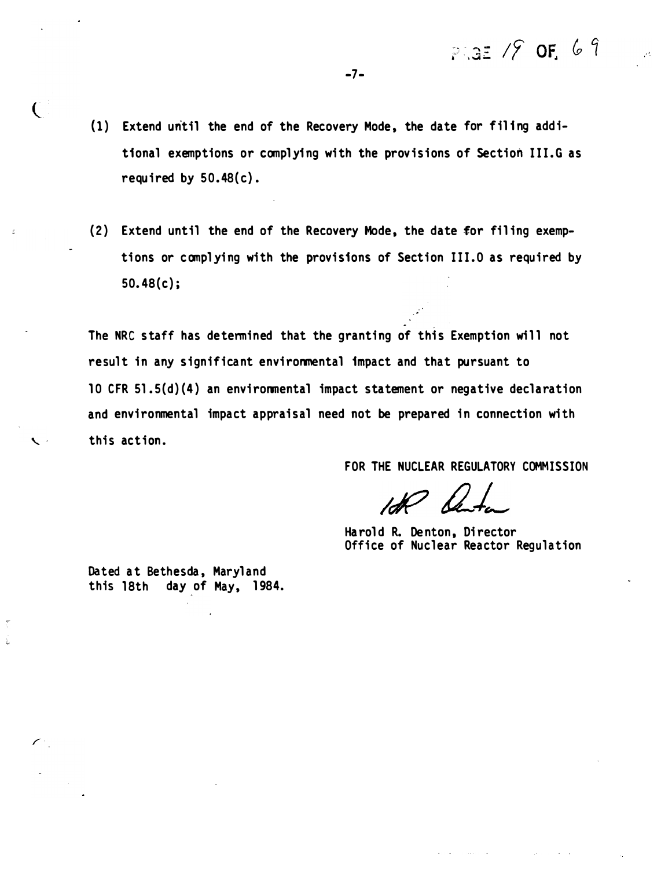$P = 12$  /  $9$  or 69

- (1) Extend until the end of the Recovery Mode , the date for filing additional exemptions or complying wi th the provisions of Section III.G as required by  $50.48(c)$ .
- (2) Extend until the end of the Recovery Mode, the date for filing exemptions or complying with the provisions of Section III.0 as required by 50. 48 (c);

The NRC staff has determined that the granting of this Exemption will not result in any significant environmental impact and that pursuant to 10 CFR 51 . 5(d) (4 ) an environmental impact statement or negative declaration and environmental impact appraisal need not be prepared in connection with  $\sim$  this action.

FOR THE NUCLEAR REGULATORY COMMISSION

Harold R. Denton, Director Office of Nuclear Reactor Regulation

Dated at Bethesda, Maryland this 18th day of May, 1984.

 $\overline{C}$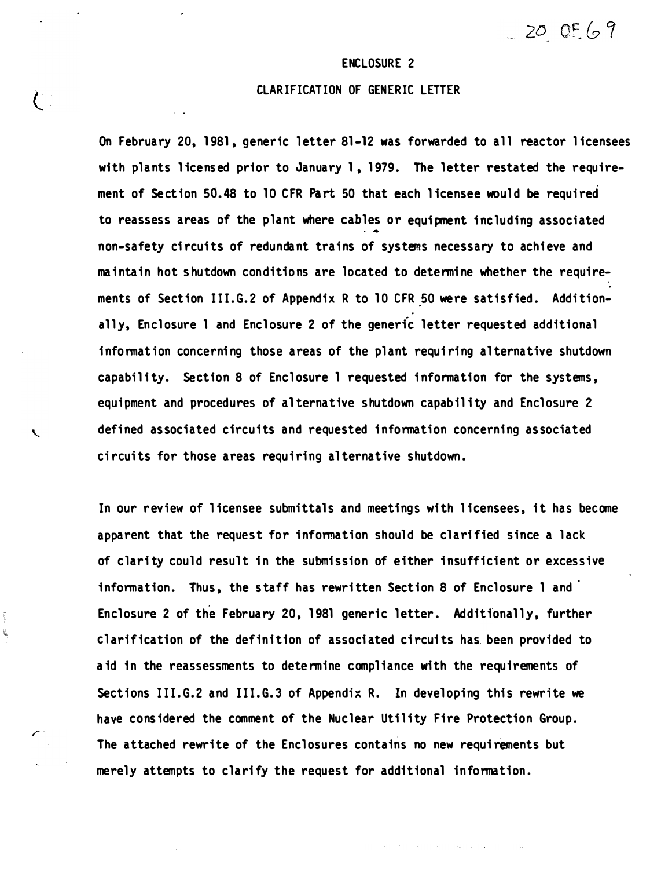$200569$ 

#### ENCLOSURE 2

### CLARIFICATION OF GENERIC LETTER

 $\left(\begin{array}{c} 0 \end{array}\right)$ 

 $\mathbf{v}$ 

Ţ 

On February 20, 1981, generic letter 81-12 was forwarded to all reactor licensees with plants licensed prior to January 1, 1979. The letter restated the requirement of Section 50.48 to 10 CFR Part 50 that each l icensee would be required to reassess areas of the plant where cables or equipment including associated non-safety circuits of redundant trains of systems necessary to achieve and maintain hot shu tdown conditions are located to determi ne whether the requirements of Section III.G.2 of Appendix R to 10 CFR 50 were satisfied. Additionally, Enclosure 1 and Enclosure 2 of the generic letter requested additional information concerning those areas of the plant requiring alternative shutdown capability. Section 8 of Enclosure 1 requested information for the systems, equipment and procedures of alternative shutdown capability and Enclosure 2 defined associated circuits and requested information concerning associated circuits for those areas requiring al ternative shutdown.

In our review of licensee submittals and meetings with licensees, it has become apparent that the request for information should be clarified since a lack of clarity could result in the submission of either insufficient or excessive information. Thus, the staff has rewritten Section 8 of Enclosure 1 and Enclosure 2 of the February 20, 1981 generic letter. Additionally, further clarification of the definition of associated circuits has been provided to aid in the reassessments to determine compliance with the requirements of Sect ions III. G.2 and III.G.3 of Appendix R. ln developing this rewrite we have considered the comment of the Nuclear Utility Fire Protection Group. The attached rewrite of the Enclosures contains no new requirements but merely attempts to clarify the request for additional information.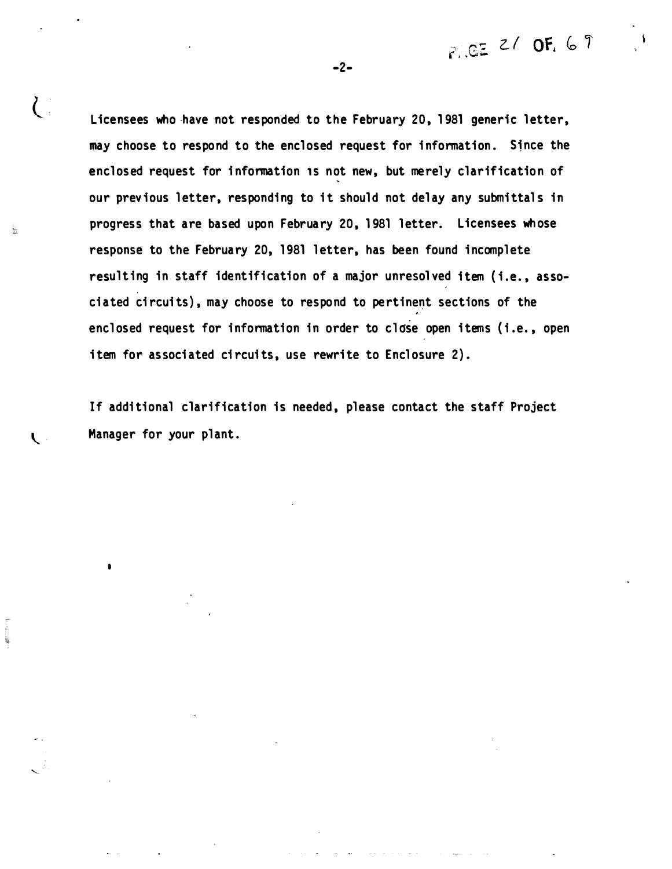$P_{1.}GE$  2/ OF, 69

Licensees who have not responded to the February 20, 1981 generic letter, may choose to respond to the enclosed request for information. Since the enclosed request for information is not new, but merely clarification of our previous letter, responding to it should not delay any submittals in progress that are based upon February 20, 1981 letter. Licensees whose response to the February 20, 1981 letter, has been found incomplete resulting in staff identification of a major unresolved item (i.e., associated circuits), may choose to respond to pertinent sections of the enclosed request for information in order to close open items (i.e., open item for associated circuits, use rewrite to Enclosure 2).

-2-

 $\overline{C}$ 

È.

•

If additional clarification is needed, please contact the staff Project  $\mathbf t$  Manager for your plant.

المتحدث والمتحالف والمت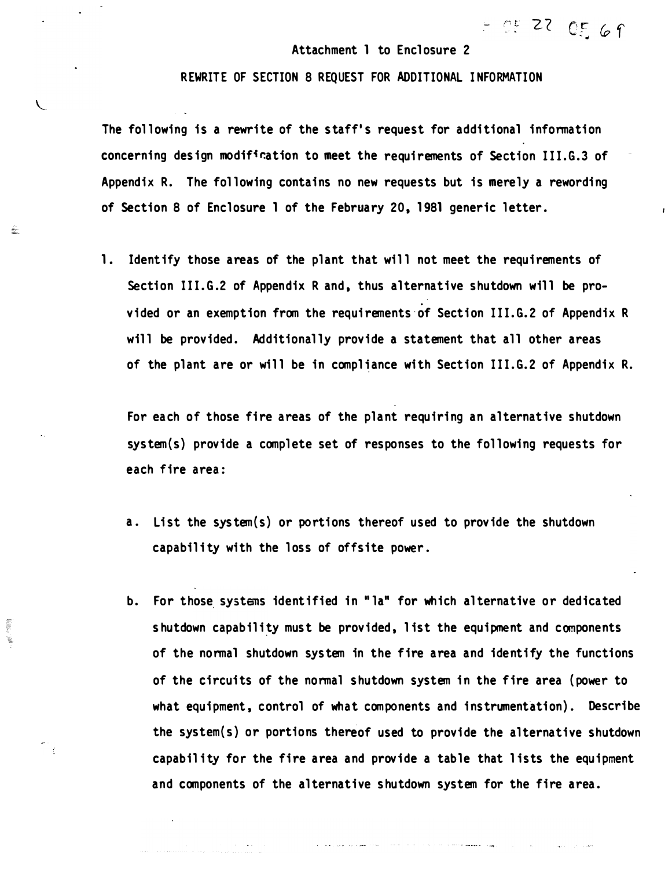#### Attachment 1 to Enclosure 2

 $=$  0.5 22 0.5 6 9

#### REWRITE OF SECTION 8 REQUEST FOR ADDITIONAL I NFORMATION

 $\zeta$ 

È.

**SHOPS** ¥.

The following is a rewrite of the staff's request for additional information concerning design modification to meet the requirements of Section III.G.3 of Appendix R. The following contains no new requests but is merely a rewording of Section 8 of Enclosure 1 of the February 20, 1981 generic letter.

1. Identify those areas of the plant that will not meet the requirements of Section III.G.2 of Appendix R and, thus alternative shutdown will be provided or an exemption from the requirements of Section III.G.2 of Appendix R will be provided. Additionally provide a statement that all other areas of the plant are or will be in compliance with Section III.G.2 of Appendix R.

For each of those fire areas of the plant requiring an alternative shutdown system(s) provide a complete set of responses to the following requests for each fire area:

- a. List the sys tem(s) or portions thereof used to provide the shutdown capability with the loss of offsite power.
- b. For those systens identified in "la" for which al ternative or dedicated shutdown capability must be provided, list the equipment and components of the normal shutdown system in the fire area and identify the functions of the circuits of the normal shutdown system in the fire area (power to what equipment, control of what components and instrumentation). Describe the system(s) or portions thereof used to provide the alternative shutdown capability for the fire area and provide a table that lists the equipment and components of the alternative shutdown system for the fire area.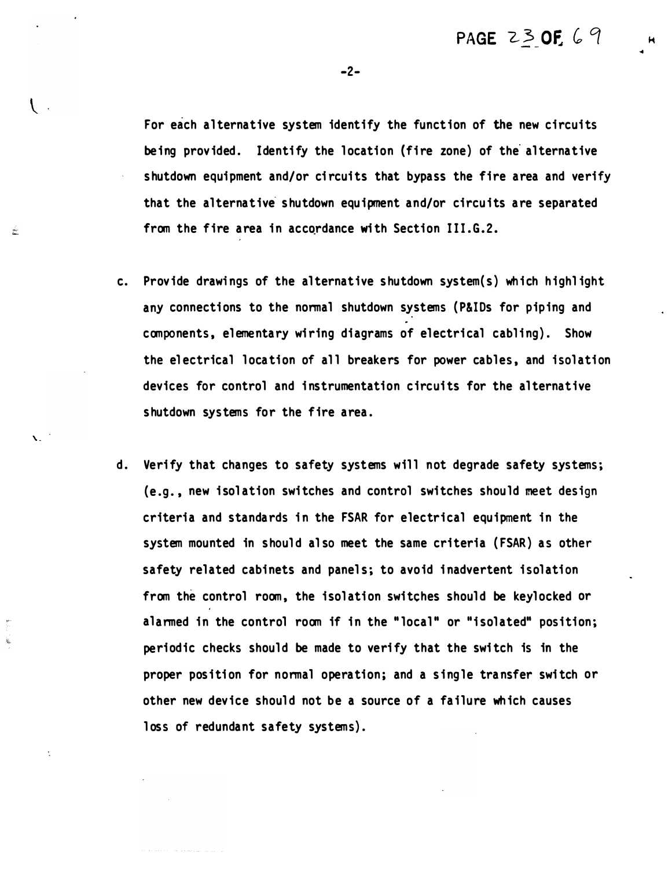-2-

For each alternative system identify the function of the new circuits being provided. Identify the location (fire zone) of the alternative shutdown equipment and/or circuits that bypass the fire area and verify that the alternative shutdown equipment and/or circuits are separated from the fire area in accordance with Section III.G.2.

c. Provide drawings of the al ternative shutdown system(s) which highl ight any connections to the normal shutdown systems ( P&IDs for piping and components, elementary wiring diagrams of electrical cabling). Show the electrical location of all breakers for power cables, and isolation devices for control and instrumentation circuits for the alternative shutdown systems for the fire area.

 $\mathbf{r}$ 

į.

 $\setminus$ .

É.

d. Verify that changes to safety systems will not degrade safety systems; (e.g., new isolation switches and control switches should meet design criteria and standards in the FSAR for electrical equipment in the system mounted in should also meet the same criteria (FSAR) as other safety related cabinets and panels; to avoid inadvertent isolation from the control room, the isolation switches should be keylocked or alarmed in the control room if in the "local" or "isolated" position; periodic checks should be made to verify that the switch is in the proper position for normal operation; and a single transfer switch or other new device should not be a source of a failure wh ich causes loss of redundant safety systems).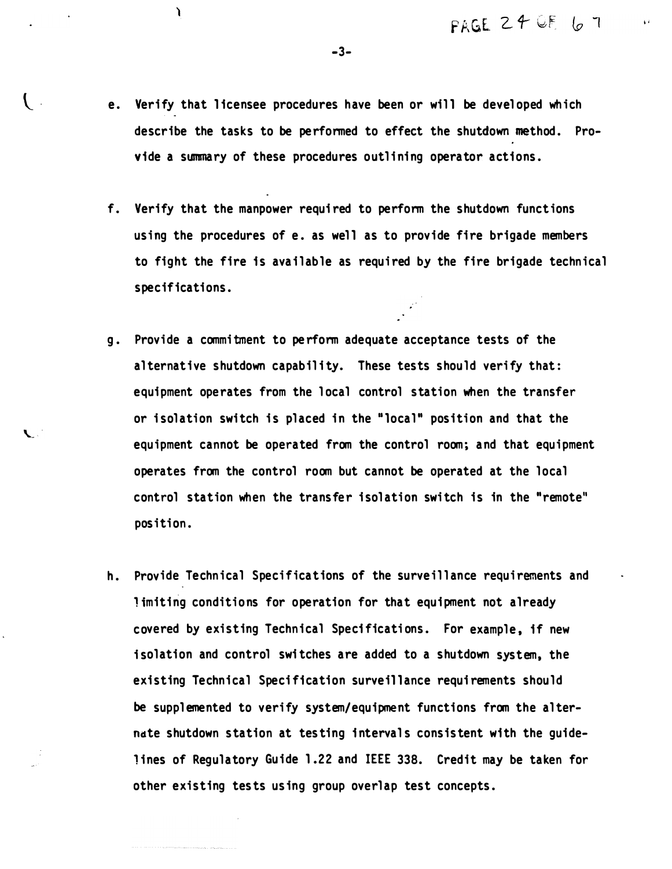- e. Verify that licensee procedures have been or will be developed which describe the tasks to be performed to effect the shutdown method. Provide a summary of these procedures outlining operator actions.
- f. Verify that the manpower requi red to perform the shutdown funct ions using the procedures of e. as well as to provide fire brigade members to fight the fire is available as required by the fire brigade technical specifications.
- g. Provide a commitment to pe rform adequate acceptance tests of the alternative shutdown capability. These tests should verify that: equipment operates from the local control station when the transfer or isolation switch is placed in the "local" position and that the equipment cannot be operated from the control room; and that equipment operates from the control room but cannot be operated at the local control station when the transfer i solation swi tch is in the "remote" position.
- h. Provide Technical Specifications of the surveillance requirements and limiting conditions for operation for that equipment not already covered by existing Technical Specifications. For example, if new isolation and control switches are added to a shutdown system, the existing Technical Specification surveillance requirements should be supplemented to verify system/equipment functions from the alterndte shutdown station at tes ting intervals consistent with the guidelines of Regulatory Guide 1.22 and IEEE 338. Credit may be taken for other existing tests using group overlap test concepts.

-3-

 $\mathbf{I}$ 

¥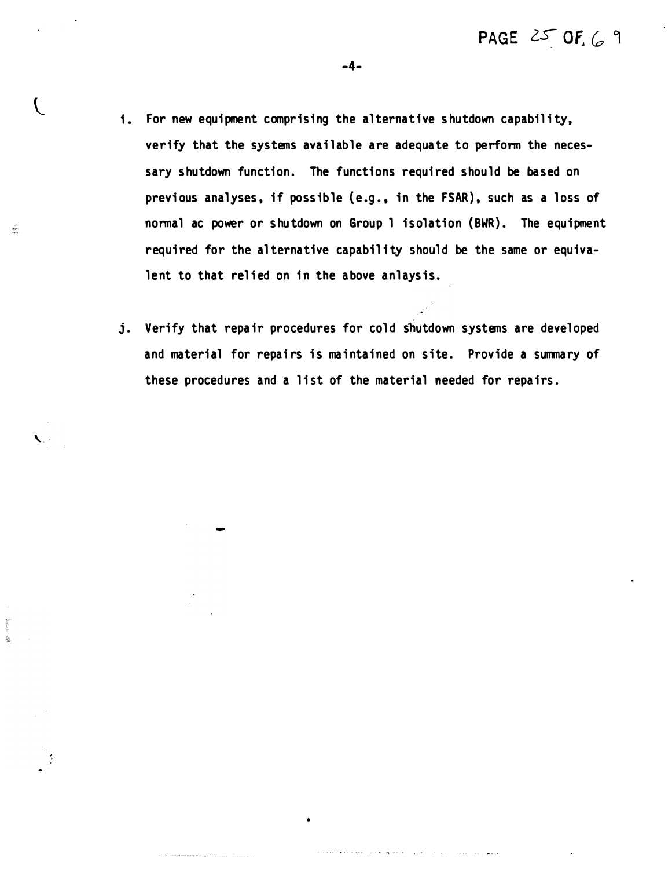- i. For new equipment comprising the alternative shutdown capability, verify that the systems available are adequate to perform the necessary shutdown function. The functions required should be based on previous analyses, if possible (e.g., in the FSAR), such as a loss of normal ac power or shutdown on Group 1 isolation (BWR). The equipment required for the alternative capability should be the same or equivalent to that relied on in the above anlaysis.
- j. Verify that repair procedures for cold shutdown systems are developed and material for repairs is maintained on site. Provide a summary of these procedures and a list of the material needed for repairs.

•

المصادر والرائد والمرابىء والمتعاقبات للمحا

 $\mathcal{L}$ 

÷

ï.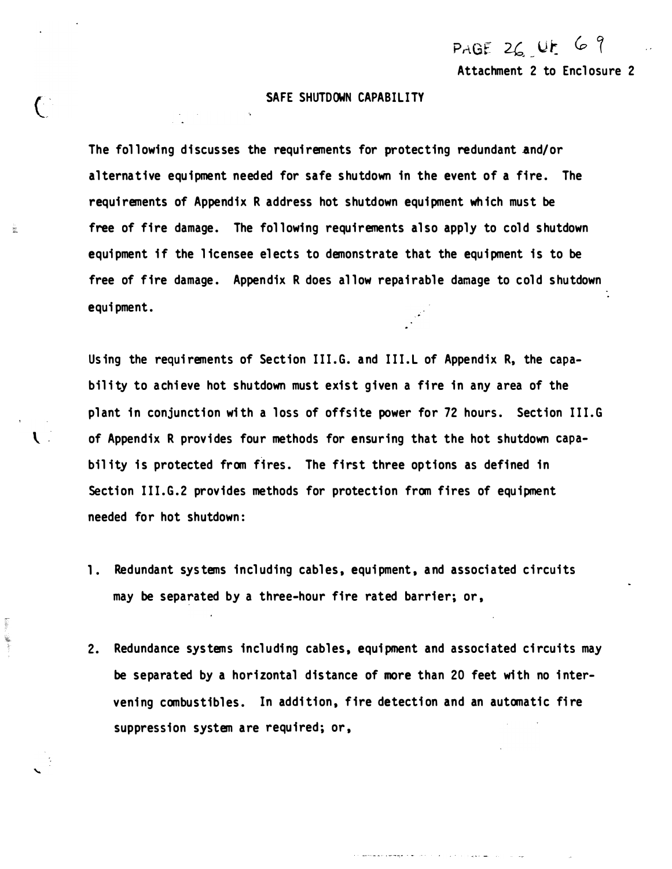PAGE  $26.4$ Attachment 2 to Enclosure 2

#### SAFE SHUTDOWN CAPABILITY

 $\bigcap$ 

Ë.

The following discusses the requirements for protecting redundant and/or al ternative equipment needed for safe shutdown in the event of a fire. The requirements of Appendix R address hot shutdown equipment which must be free of fire damage. The following requirements also apply to cold shutdown equi pment if the l icensee el ects to demonstrate that the equipment is to be free of fire damage. Appendix R does allow repairable damage to cold shutdown equi pment.

Using the requirements of Section III.G. and III.L of Appendix R, the capability to achieve hot shutdown must exist given a fire in any area of the plant in conjunction with a loss of offsite power for 72 hours. Section III.G \. . of Appendix R provi des four methods for ensuring that the hot shutdown capabil ity is protected from fires. The first three options as defined in Section III.G.2 provides methods for protection from fires of equipment needed for hot shutdown:

- 1. Redundant systems including cables, equipment, and associated circuits may be separated by a three-hour fire rated barrier; or,
- 2. Redundance systems including cables, equipment and associated circuits may be separated by a horizontal distance of more than 20 feet with no intervening combustibles. In addition, fire detection and an automatic fire suppression system are required; or,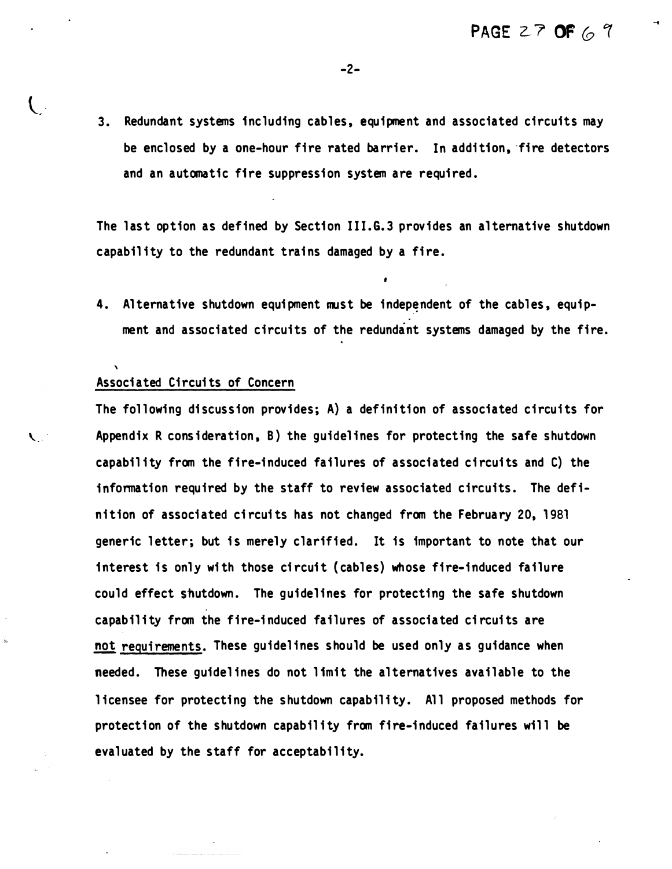3. Redundant systems including cables, equipment and associated circuits may be enclosed by a one-hour fire rated barrier. In addition, fire detectors and an automatic fire suppression system are required.

 $-2-$ 

The last option as defined by Section III.G.3 provides an alternative shutdown capability to the redundant trains damaged by a fire.

4. Alternative shutdown equipment must be independent of the cables, equipment and associated circuits of the redundant systems damaged by the fire.

#### Associated Circui ts of Concern

 $\mathbf{C}$ 

The following discussion provides; A) a definition of associated circuits for � · Appendix R consi deration, B) the guidel ines for protecting the safe shutdown capability from the fire-induced failures of associated circuits and C) the information required by the staff to review associated circuits. The defini tion of associated circui ts has not changed from the February 20, 1981 generic letter; but is merely clarified. It is important to note that our interest is only with those circuit (cables) whose fire-induced failure could effect shutdown. The quidelines for protecting the safe shutdown capability from the fire-induced failures of associated circuits are not requirements. These guidelines should be used only as guidance when needed. These guidelines do not limit the alternatives available to the licensee for protecting the shutdown capability. All proposed methods for protection of the shutdown capability from fire-induced failures will be evaluated by the staff for acceptability.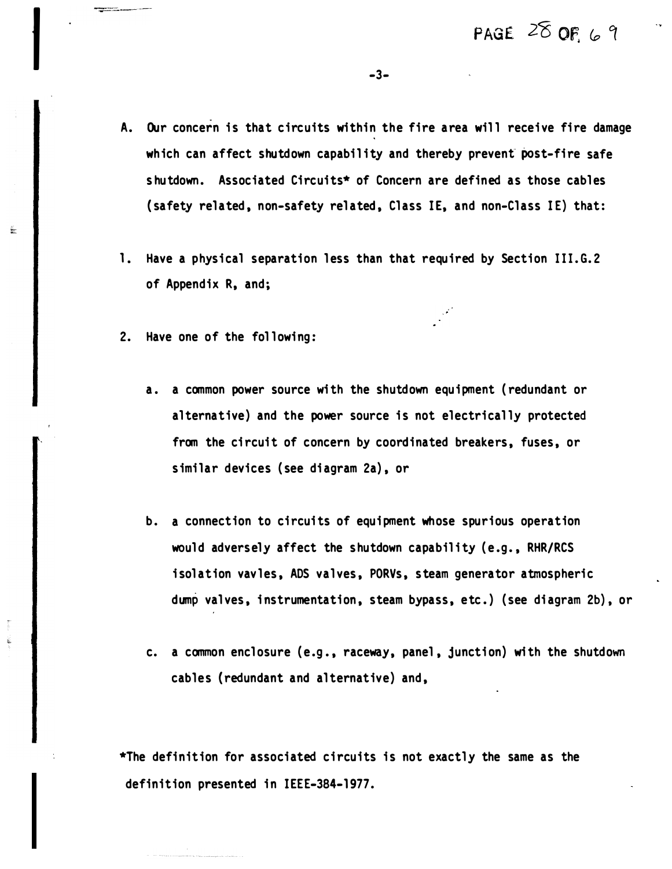A. Our concern is that circuits within the fire area will receive fire damage which can affect shutdown capability and thereby prevent post-fire safe shutdown. Associated Circuits\* of Concern are defined as those cables (safety related, non-safety related, Class IE, and non-Class IE) that:

-3-

- 1. Have a physical separation less than that required by Section III.G.2 of Appendix R, and;
- 2. Have one of the following:

 $\frac{1}{2}$ 

- a. a common power source wi th the shutdown equipment ( redundant or alternative) and the power source is not electrically protected from the circuit of concern by coordinated breakers, fuses, or similar devices ( see diagram 2a) , or
- b. a connection to circuits of equipment whose spurious operation would adversely affect the shutdown capability (e.g., RHR/RCS isolation vavles, ADS valves, PORVs, steam generator atmospheric dump valves, i nstrumentation, steam bypass, etc.) ( see diagram 2b) , or
- c. a common enclosure (e.g., raceway, panel, junction) with the shutdown cables (redundant and alternative) and,

 $*$ The definition for associated circuits is not exactly the same as the definition presented in IEEE-384-1977.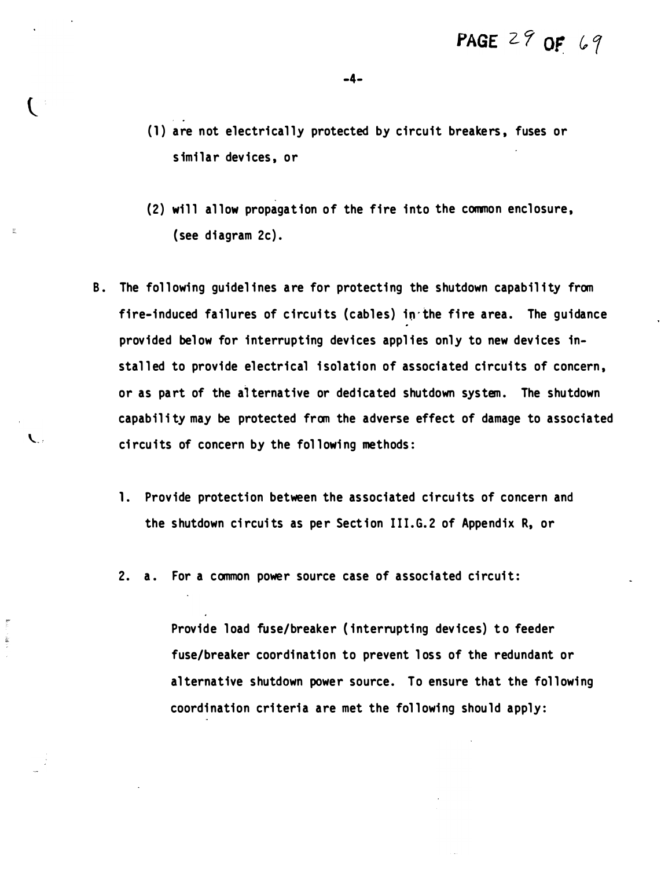$\left( \begin{array}{c} \cdot & \cdot \end{array} \right)$ 

 $\mathcal{L}$ 

- (1) are not electrically protected by circuit breakers, fuses or s imilar devices, or
- (2) will allow propagation of the fire into the common enclosure, (see diagram 2c) .
- B. The following guidelines are for protecting the shutdown capability from fire-induced failures of circuits (cables) in the fire area. The guidance provided below for interrupting devices applies only to new devices installed to provide electrical isolation of associated circuits of concern, or as part of the alternative or dedicated shutdown system. The shutdown capability may be protected from the adverse effect of damage to associated circuits of concern by the following methods:
	- 1. Provide protection between the associated circuits of concern and the shutdown circuits as per Section III.G.2 of Appendix R, or
	- 2. a. For a common power source case of associated circuit:

Provide load fuse/breaker (interrupting devices) to feeder fuse/breaker coordination to prevent loss of the redundant or al ternative shutdown power source. To ensure that the following coordination criteria are met the following should apply: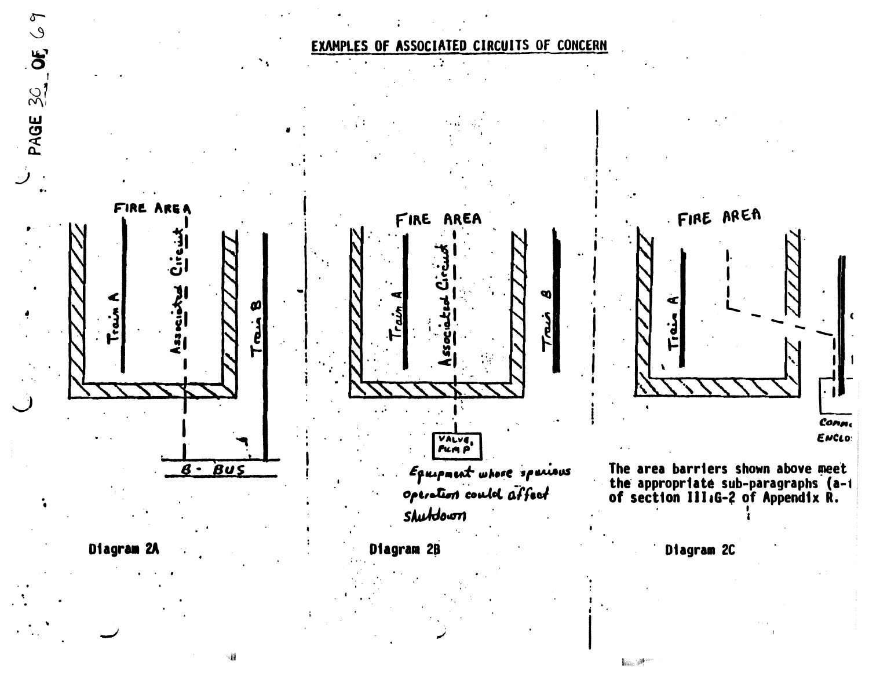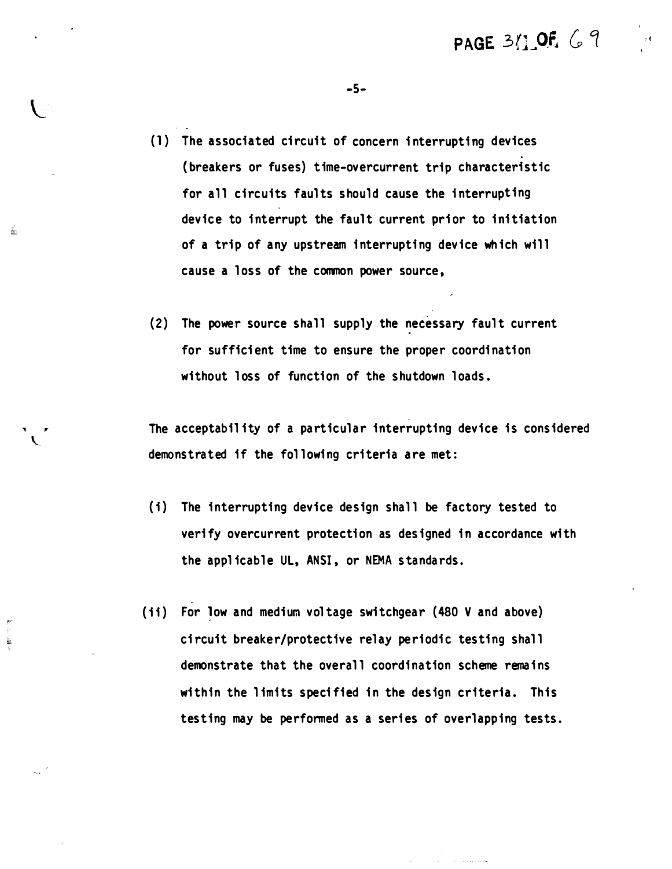PAGE 311 OF 69

(1) The associated circuit of concern interrupting devices (breakers or fuses) time-overcurrent trip characteristic for all circuits faults should cause the interrupting device to interrupt the fault current prior to initiation of a trip of any upstream interrupting device which will cause a loss of the common power source,

ŕ.

 $\tilde{\mathbf{x}}$ 

(2) The power source shall supply the necessary fault current for sufficient time to ensure the proper coordination without loss of function of the shutdown loads.

The acceptability of a particular interrupting device is considered demonstrated if the following criteria are met:

- (i) The interrupting device design shall be factory tested to verify overcurrent protection as designed in accordance with the applicable UL, ANSI, or NEMA standards.
- (ii) For low and medium voltage switchgear (480 V and above) circuit breaker/protective relay periodic testing shall demonstrate that the overall coordination scheme remains within the limits specified in the design criteria. This testing may be performed as a series of overlapping tests.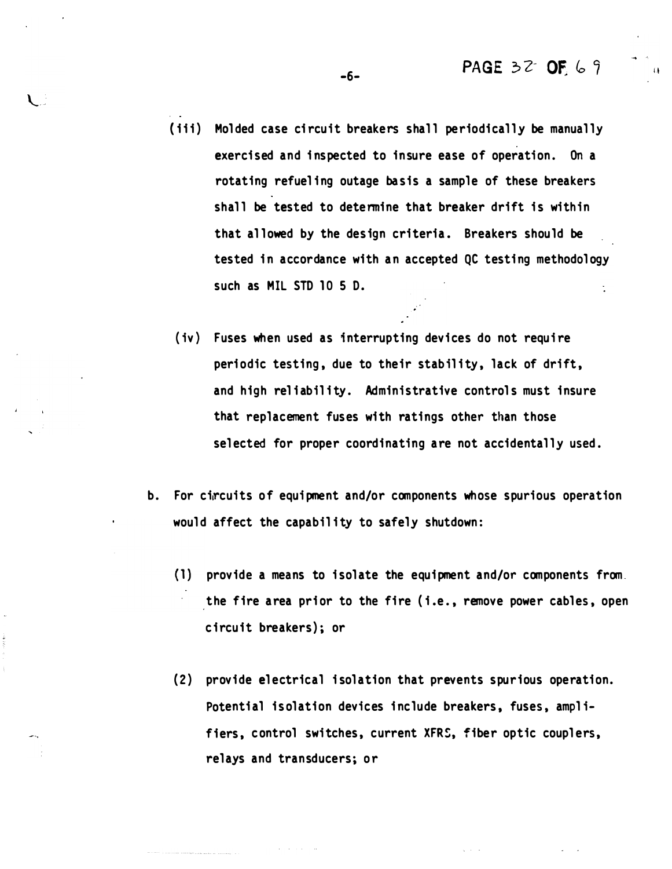- (iii) Molded case circuit breakers shall periodically be manually exercised and inspected to insure ease of operation. On a rotating refueling outage basis a sample of these breakers shall be tested to determine that breaker drift is within that allowed by the design criteria. Breakers should be tested in accordance with an accepted QC testing methodology such as MIL STD 10 5 D.
- (iv) Fuses when used as interrupting devices do not require periodic testing, due to their stability, lack of drift, and high reliability. Administrative controls must insure that replacement fuses with ratings other than those selected for proper coordinating are not accidentally used.
- b. For circuits of equipment and/or components whose spurious operation would affect the capability to safely shutdown:
	- (1) provide a means to isolate the equipment and/or components from. the fire area prior to the fire (i.e., remove power cables, open circuit breakers); or
	- (2) provide electrical isolation that prevents spurious operation. Potential is olation devices include breakers, fuses, amplifiers, control switches, current XFRS, fiber optic couplers, relays and transducers; or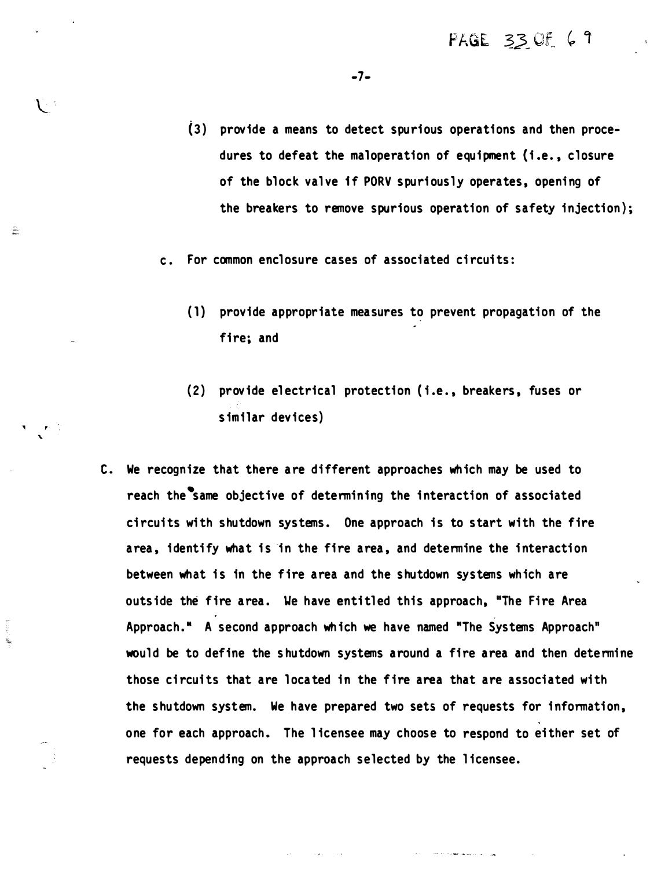- (3) provide a means to detect spurious operations and then procedures to defeat the maloperation of equipment (i.e., closure of the block valve if PORV spuriously operates, opening of the breakers to remove spurious operation of safety injection};
- c. For common enclosure cases of associated circui ts:

, `

÷.

- (1} provide appropriate measures to prevent propagation of the fire; and
- (2) provide electrical protection (i.e., breakers, fuses or s imilar devices)
- C. We recognize that there are different approaches which may be used to reach the same objective of determining the interaction of associated circuits with shutdown systems. One approach is to start with the fire area, identify what is in the fire area, and determine the interaction between what is in the fire area and the shutdown systems which are outside the fire area. We have entitled this approach, "The Fire Area Approach." A second approach which we have named "The Systems Approach" would be to define the s hutdown systems around a fire area and then determine those circuits that are located in the fire area that are associated with the shutdown system. We have prepared two sets of requests for information. one for each approach. The l icensee may choose to respond to ei ther set of requests depending on the approach selected by the licensee.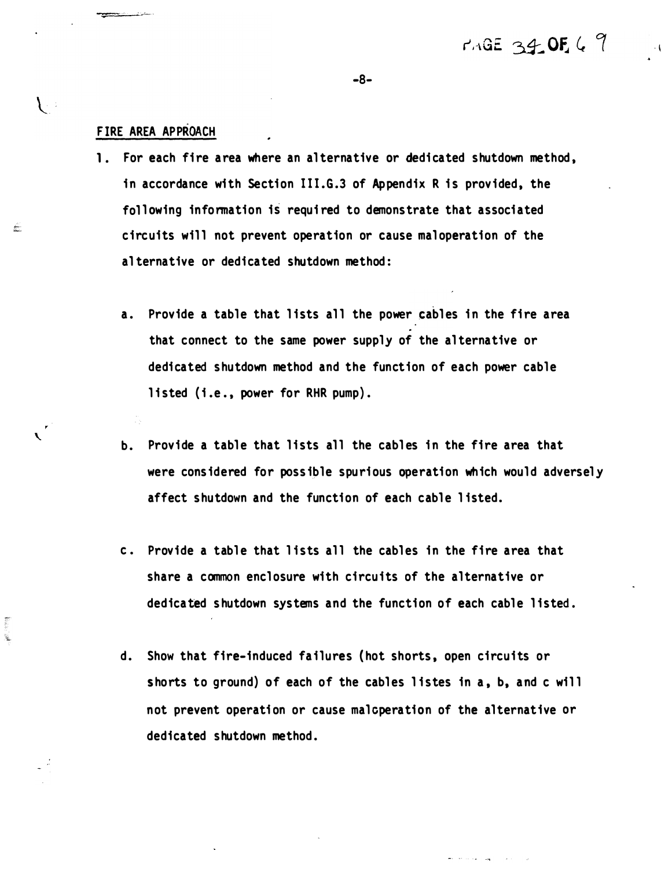#### FIRE AREA APPROACH

 $\overline{\phantom{0}}$ 

X. Ń.  $\mathcal{L}$ 

£

- 1. For each fire area where an alternative or dedicated shutdown method, in accordance wi th Section lll. G.3 of Appendix R is provided, the following information is required to demonstrate that associated circuits will not prevent operation or cause maloperation of the al ternative or dedicated shutdown method:
	- a. Provide a table that lists all the power cables in the fire area that connect to the same power supply of the al ternative or dedicated shutdown method and the function of each power cable listed (i.e., power for RHR pump).
	- b. Provide a table that lists all the cables in the fire area that were considered for possible spurious operation which would adversely affect shutdown and the function of each cable listed.
	- c. Provide a table that lists all the cables in the fire area that share a common enclosure with circuits of the alternative or dedicated shutdown systems and the function of each cable listed.
	- d. Show that fire-induced failures ( hot shorts, open circuits or shorts to ground) of each of the cables listes in a, b, and c will not prevent operation or cause malcperation of the alternative or dedicated shutdown method.

-8-

. I

MAGE 34.0F. 6 9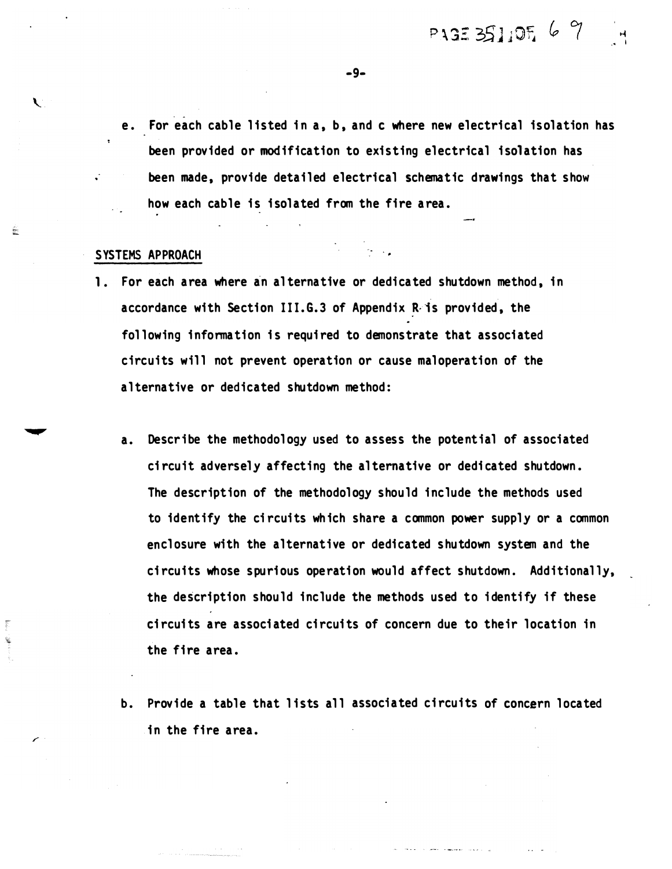e. For each cable listed in a, b, and c where new electrical isolation has been provided or modification to existing electrical isolation has been made, provide detailed electrical schematic drawings that show how each cable is isolated from the fire area.

#### SYSTEMS APPROACH

 $\mathbf{C}$ 

É

Ý,

- 1. For each area where an alternative or dedicated shutdown method, in accordance with Section III.G.3 of Appendix R is provided, the following information is required to demonstrate that associated circuits will not prevent operation or cause maloperation of the al ternative or dedicated shutdown method:
	- a. Describe the methodology used to assess the potential of associated ci rcuit adversel y affecting the al ternative or dedi cated shutdown. The description of the methodology should include the methods used to identify the circuits which share a common power supply or a common enclosure with the alternative or dedicated shutdown system and the circuits whose spurious operation would affect shutdown. Additionally, the description should include the methods used to identify if these circui ts are associated circui ts of concern due to their location in the fire area.
	- b. Provide a table that lists all associated circuits of concern located in the fire area.

-9-

� ·• I

PAGE 351,05, 6 9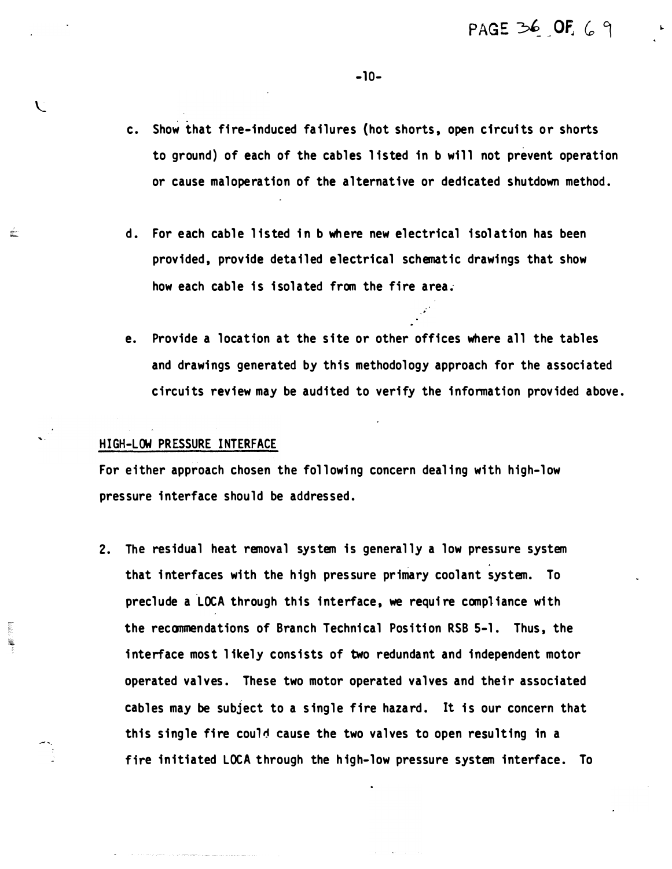- c. Show that fire-induced failures (hot shorts, open circuits or shorts to ground) of each of the cables listed in b will not prevent operation or cause maloperation of the al ternative or dedicated shutdown method.
- d. For each cable listed in b where new electrical isolation has been provided, provide detailed electrical schematic drawings that show how each cable is isolated from the fire area.
- e. Provide a location at the site or other offices where all the tables and drawings generated by this methodology approach for the associated circuits review may be audited to verify the information provided above.

#### HIGH-LOW PRESSURE INTERFACE

 $\mathbf{V}$ 

aller.<br>Aller

For either approach chosen the following concern dealing with high-low pressure interface should be addressed.

2. The residual heat removal system is generally a low pressure system that interfaces with the high pressure primary coolant system. To preclude a LOCA through this interface, we require compliance with the recommendations of Branch Technical Position RSB 5-1. Thus, the interface most likely consists of two redundant and independent motor operated valves. These two motor operated valves and their associated cabl es may be subject to a s ingle fire hazard. It is our concern that this single fire cou1� cause the two valves to open resulting in a fire initiated LOCA through the high-low pressure system interface. To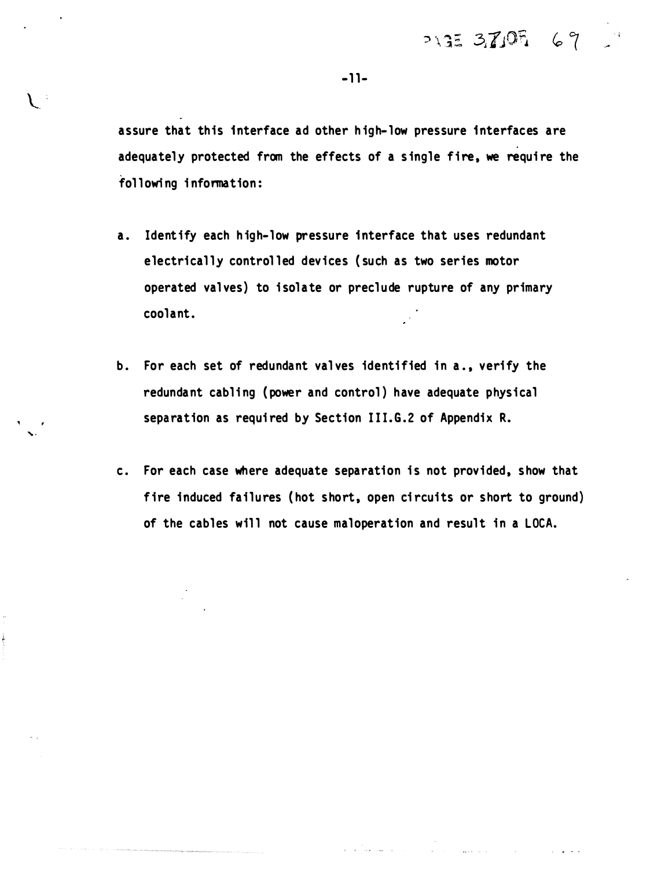$7135370569$ 

أأنوا المتعارف

 $-11-$ 

assure that this interface ad other h igh-low pressure interfaces are adequately protected from the effects of a single fire, we require the following information:

- a. Identify each high-low pressure interface that uses redundant electrically controlled devices (such as two series motor operated valves) to i solate or preclude rupture of any primary coolant.
- b. For each set of redundant valves identified in a., verify the redundant cabling (power and control) have adequate physical separation as required by Section III.G.2 of Appendix R.
- c. For each case where adequate separation is not provided, show that fire induced failures (hot short, open circuits or short to ground) of the cables will not cause maloperation and result in a LOCA.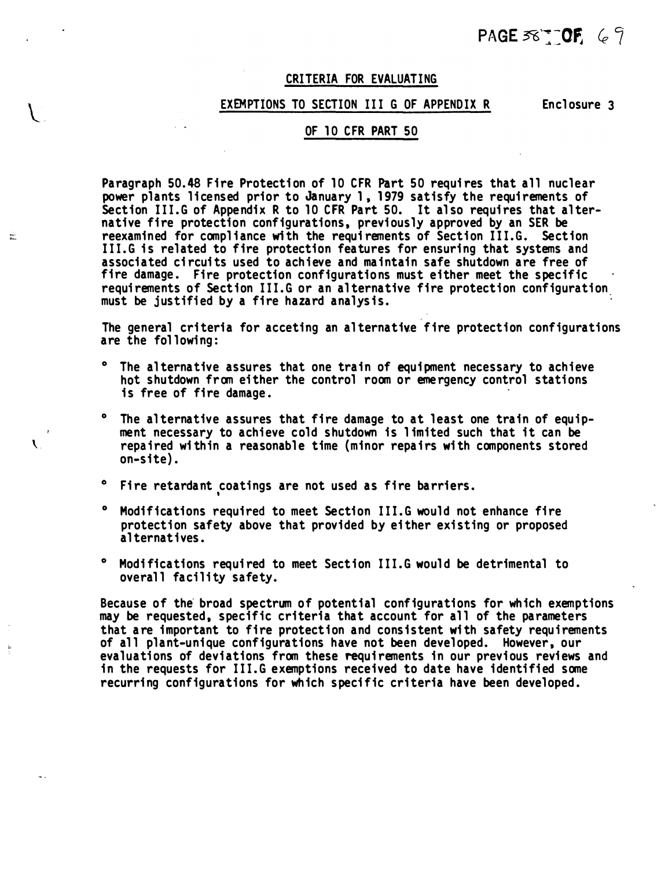## PAGE  $58 - 0$ F 69

#### CRITERIA FOR EVALUATING

#### EXEMPTIONS TO SECTION III G OF APPENDIX R Enclosure 3

#### OF 10 CFR PART 50

Paragraph 50.48 Fire Protection of 10 CFR Part 50 requires that all nuclear power plants licensed prior to January 1, 1979 satisfy the requirements of Section III.G of Appendix R to 10 CFR Part 50. It also requires that alternative fire protection configurations, previously approved by an SER be reexamined for compliance with the requirements of Section III.G. Section III.G is related to fire protection features for ensuring that systems and associated circuits used to achieve and maintain safe shutdown are free of fire damage. Fire protection configurations must either meet the specific requirements of Section III.G or an al ternative fire protection configuration. must be justified by a fire hazard analysis.

The general criteria for acceting an alternative fire protection configurations are the fol lowing:

- <sup>o</sup> The alternative assures that one train of equipment necessary to achieve hot shutdown from ei ther the control room or eme rgency control stations is free of fire damage. ·
- <sup>o</sup> The alternative assures that fire damage to at least one train of equipment necessary to achieve cold shutdown is l imited such that it can be  $\mathcal{R}$  repaired within a reasonable time (minor repairs with components stored on-site) .
	- ° Fire retardant coatings are not used as fire barriers.

 $\frac{1}{\hbar^2}$ 

- <sup>o</sup> Modifications required to meet Section III.G would not enhance fire protection safety above that provided by either existing or proposed al ternat ives.
- <sup>o</sup> Modifications required to meet Section III.G would be detrimental to overall facility safety.

Because of the broad spectrum of potential configurations for which exemptions may be requested, specific criteria that account for all of the parameters that are important to fire protection and consistent with safety requirements of all plant-unique configurations have not been developed. However, our evaluations of deviations from these requirements in our previous reviews and in the requests for III.G exemptions received to date have identified some recurring configurations for which specific criteria have been developed.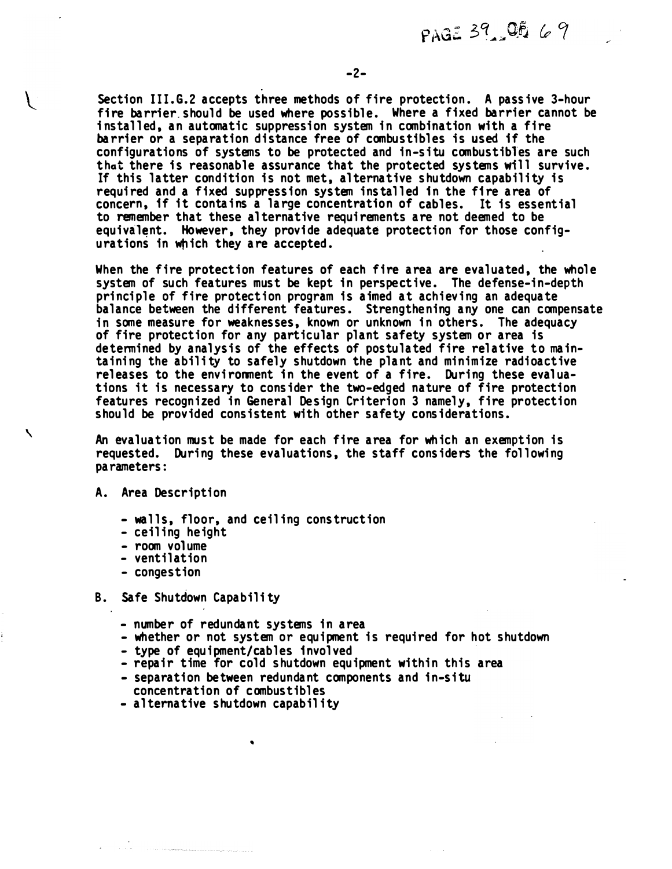PAGE 39 OF 69

Section III.G.2 accepts three methods of fire protection. A passive 3-hour fire barrier should be used where possible. Where a fixed barrier cannot be installed, an automatic suppression system in combination with a fire barrier or a separation distance free of combustibles is used if the configurations of systems to be protected and in-situ combustibles are such that there is reasonable assurance that the protected systems will survive. If this latter condition is not met, alternative shutdown capability is required and a fixed suppression system installed in the fire area of concern, if it contains a large concentration of cables. It is essential to remember that these al ternative requi rements are not deemed to be equivalent. However, they provide adequate protection for those configurations in which they are accepted.

When the fire protection features of each fire area are evaluated, the whole system of such features must be kept in perspective. The defense-in-depth principle of fire protection program is aimed at achieving an adequate balance between the different features. Strengthening any one can compensate in some measure for weaknesses, known or unknown in others. The adequacy of fire protection for any particular plant safety system or area is determined by analysis of the effects of postula ted fire relative to maintaining the ability to safely shutdown the plant and minimize radioactive releases to the environment in the event of a fire. During these evaluations it is necessary to consider the two-edged nature of fire protection features recognized in General Design Criterion 3 namely, fire protection should be provided consistent with other safety considerations.

An evaluation must be made for each fire area for which an exemption is requested. During these evaluations, the staff considers the following parameters :

A. Area Description

 $\overline{\phantom{0}}$ 

- walls, floor, and ceiling construction
- ceil ing he ight
- room volume
- ventilation
- congestion
- B. Safe Shutdown Capability
	- number of redundant systems in area
	- whether or not system or equipment is required for hot shutdown
	- type of equipment/cables involved
	- repair time for cold shutdown equipment within this area
	- separation between redundant components and in-situ concentration of combustibles
	- alternative shutdown capability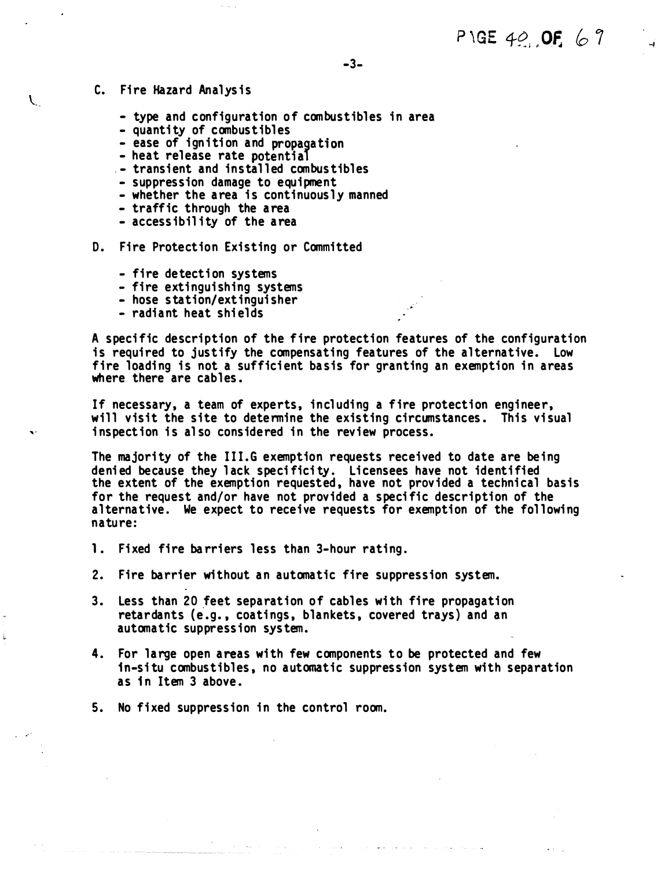- C. Fire Hazard Analysis
	- type and configuration of combustibles in area
	- quantity of combustibles
	- ease of ignition and propagation
	- heat release rate potential
	- .- transient and installed combustibles
	- suppression damage to equipment
	- whether the area is continuously manned
	- traffic through the area
	- $-$  accessibility of the area
- D. Fire Protection Existing or Committed
	- fire detection systems
	- fire extinguishing systems
	- hose station/extinguisher
	- radiant heat shields

A specific description of the fire protection features of the configuration is required to justify the compensating features of the alternative. Low fire loading is not a sufficient basis for granting an exemption in areas where there are cables.

If necessary, a team of experts, including a fire protection engineer, will visit the site to determine the existing circumstances. This visual inspection is also considered in the review process.

The majority of the III.G exemption requests received to date are being denied because they lack specificity. Licensees have not identified the extent of the exemption requested, have not provided a technical basis for the request and/or have not provided a specific description of the alternative. We expect to receive requests for exemption of the following nature:

- 1. Fixed fire barriers less than 3-hour rating.
- 2. Fire barrier without an automatic fire suppression system.
- 3. Less than 20 feet separation of cables with fire propagation retardants (e.g. , coatings, blankets, covered trays) and an automatic suppression system.
- 4. For large open areas with few components to be protected and few in-situ combustibles, no automatic suppression system with separation as in Item 3 above .
- 5. No fixed suppression in the control room.

.. -

 $\mathcal{L}$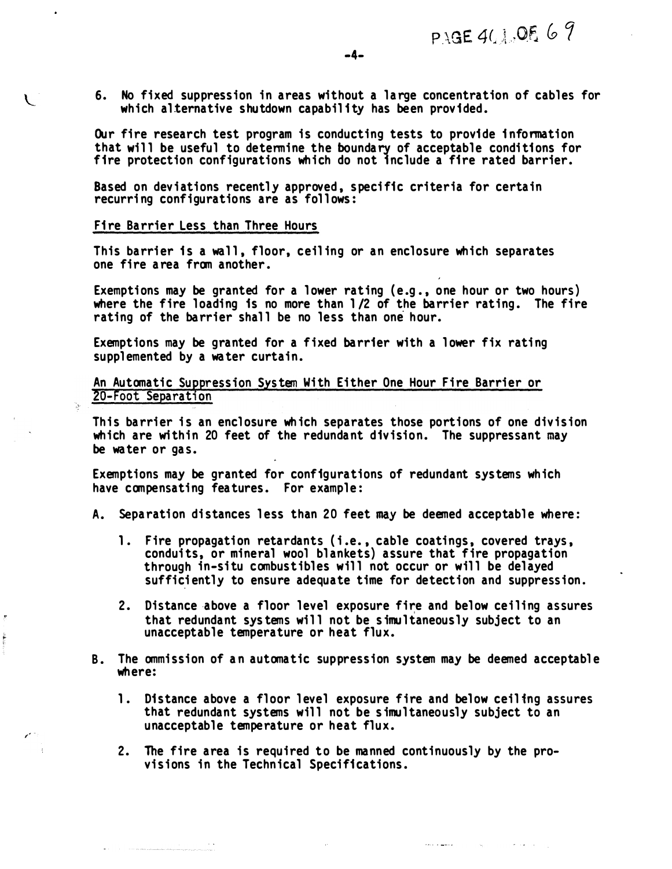6. No fixed suppression in areas wi thout a large concentration of cables for which alternative shutdown capability has been provided.

Our fire research test program is conducting tests to provide information that will be useful to determine the boundary of acceptable conditions for fire protection configurations which do not include a fire rated barrier.

Based on deviations recently approved, specific criteria for certain recurring configurations are as follows:

#### Fire Barrier Less than Three Hours

Ņ.

This barrier is a wall, floor, ceiling or an enclosure which separates one fire a rea from another.

Exemptions may be granted for a lower rating (e.g., one hour or two hours) where the fire loading is no more than 1/2 of the barrier rating. The fire rating of the barrier shall be no less than one hour.

Exemptions may be granted for a fixed barrier with a lower fix rating supplemented by a water curtain.

An Automatic Suppression System With Either One Hour Fire Barrier or 20-Foot Separation

This barrier is an enclosure wh ich separates those portions of one division which are within 20 feet of the redundant division. The suppressant may be water or gas.

Exemptions may be granted for configurations of redundant systems which have compensating features. For example:

- A. Separation distances less than 20 feet may be deemed acceptable where:
	- 1. Fire propagation retardants (i.e., cable coatings, covered trays, condui ts, or mineral wool blankets) assure that fire propagation through in-situ combustibles will not occur or will be delayed sufficiently to ensure adequate time for detection and suppression.
	- 2. Distance above a floor level exposure fire and below ceiling assures that redundant systems will not be simultaneously subject to an unacceptable temperature or heat flux.
- B. The ommission of an automatic suppression system may be deemed acceptable where:
	- 1. Distance above a floor level exposure fire and below ceiling assures that redundant systems will not be simultaneously subject to an unacceptable temperature or heat flux.

أأراد والمتهورة المحدد

 $\sim 10^{11}$  and  $\sim 10^{11}$ 

**Contractor** 

2. The fire area is required to be manned continuously by the provisions in the Technical Specifications.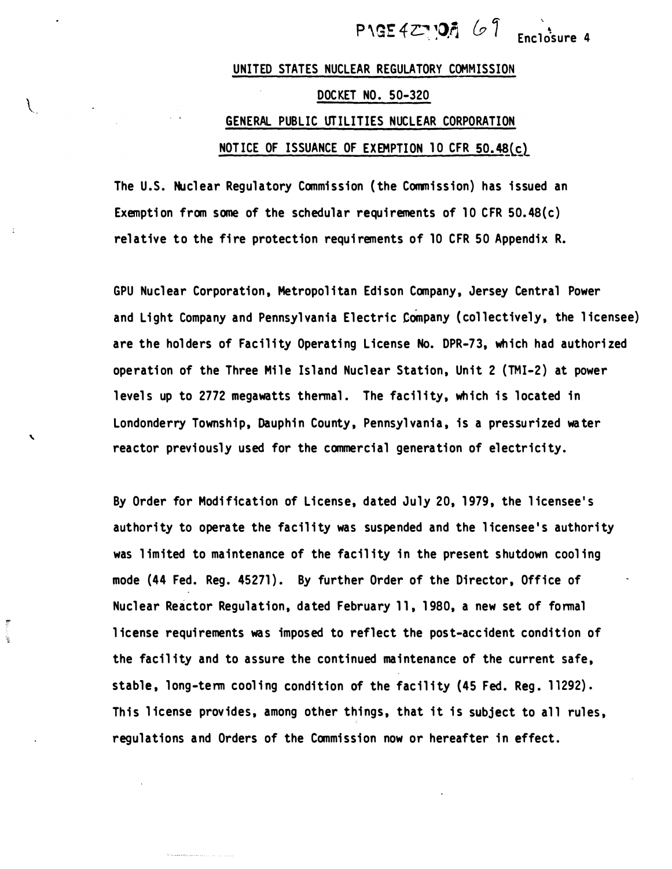Enclosure 4

## UNITED STATES NUCLEAR REGULATORY COMMISSION DOCKET NO. 50-320 GENERAL PUBLIC UTILITIES NUCLEAR CORPORATION NOTICE OF ISSUANCE OF EXEMPTION 10 CFR 50.48 $(c)$

The U.S. Nuclear Regulatory Commission (the Commission) has issued an Exemption from some of the schedular requirements of 10 CFR  $50.48(c)$ relative to the fire protection requi rements of 10 CFR 50 Appendix R.

 $\mathcal{L}$ 

`

i.

GPU Nuclear Corporation, Metropolitan Edison Company, Jersey Central Power and Light Company and Pennsylvania Electric Company (collectively, the licensee) are the holders of Facility Operating License No. DPR-73, which had authorized operation of the Three Mile Island Nuclear Station, Unit 2 (TMI-2) at power levels up to 2772 megawatts thermal. The facility, which is located in Londonderry Township, Dauphin County, Pennsylvania, is a pressurized water reactor previously used for the commercial generation of electricity.

By Order for Modi fication of License, dated July 20, 1 979, the l icensee 's authority to operate the facility was suspended and the licensee's authority was limited to maintenance of the facility in the present shutdown cooling mode (44 Fed. Reg. 45271). By further Order of the Director, Office of Nuclear Reactor Regulation, dated February 11, 1980, a new set of formal license requirements was imposed to reflect the post-accident condition of the facility and to assure the continued maintenance of the current safe, stable, long-term cooling condition of the facility (45 Fed. Reg. 11292). This license provides, among other things, that it is subject to all rules, regulations and Orders of the Commission now or hereafter in effect.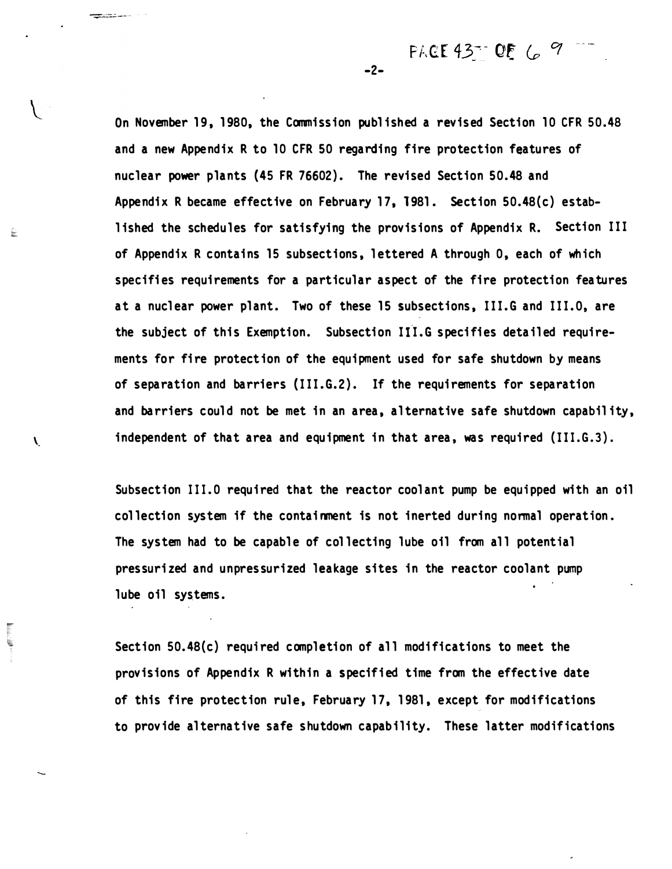PACE 43- OF 6 9

On November 19, 1980, the Commission published a revised Section 10 CFR 50.48 and a new Appendix R to 10 CFR 50 regarding fire protection features of nuclear power plants (45 FR 76602) . The revised Section 50.48 and Appendix R became effective on February 17, 1981. Section 50.48(c) established the schedules for satisfying the provisions of Appendix R. Section III of Appendix R contains 15 subsections, lettered A through 0, each of which specifies requirements for a particular aspect of the fire protection features at a nuclear power plant. Two of these 15 subsections, III.G and III.O, are the subject of this Exemption. Subsection III.G specifies detailed requirements for fire protect ion of the equi pment used for safe shutdown by means of separation and barriers  $(III.G.2)$ . If the requirements for separation and barriers could not be met in an area, alternative safe shutdown capability, independent of that area and equipment in that area, was required  $(III.G.3)$ .

-2-

Subsection III.0 required that the reactor coolant pump be equipped with an oil col lection system if the containment is not inerted during nonnal operation . The system had to be capable of collecting lube oil from all potential pressurized and unpressurized leakage sites in the reactor coolant pump lube oil systems.

 $\mathcal{L}$ 

Ý.

ୁ

Section 50.48 $(c)$  required completion of all modifications to meet the provisions of Appendix R within a specified time from the effective date of this fire protection rule, February 17, 1981, except for modifications to provide alternative safe shutdown capability. These latter modifications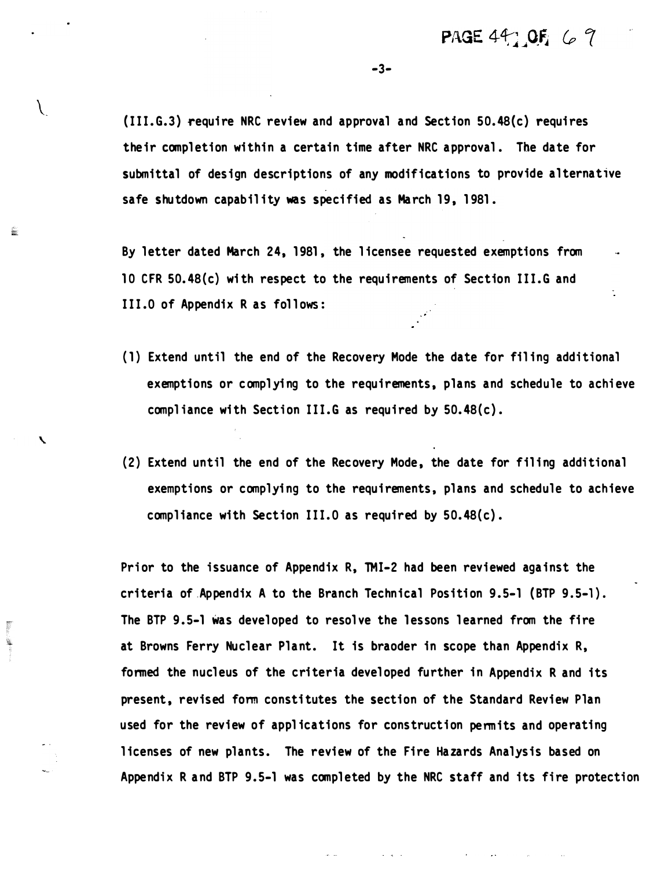$(III.G.3)$  require NRC review and approval and Section 50.48(c) requires their completion within a certain time after NRC approval. The date for submittal of design descriptions of any modifications to provide alternative safe shutdown capability was specified as March 19, 1981.

 $\setminus$ 

즕

By letter dated March 24, 1 981 , the l icensee requested exemptions from 10 CFR 50. 48(c) wi th respect to the requirements of Section III.G and III .O of Appendix R as follows:

{1) Extend until the end of the Recovery Mode the date for fil ing addi tional exemptions or complying to the requirements, plans and schedule to achieve compliance with Section III.G as required by  $50.48(c)$ .

-·

(2) Extend until the end of the Recovery Mode, the date for filing additional exemptions or complying to the requi rements, plans and schedule to achieve compliance with Section III.0 as required by  $50.48(c)$ .

Prior to the issuance of Appendix R, TMI-2 had been reviewed against the criteria of Appendix A to the Branch Technical Position 9.5-1 (BTP 9.5-1). The BTP 9.5-1 was developed to resolve the lessons learned from the fire at Browns Ferry Nuclear Plant. It is braoder in scope than Appendix R, formed the nucleus of the criteria developed further in Appendix R and its present, revised form constitutes the section of the Standard Review Plan used for the review of applications for construction permits and operating licenses of new plants. The review of the Fire Hazards Analysis based on Appendix R and BTP 9.5-1 was completed by the NRC staff and its fire protection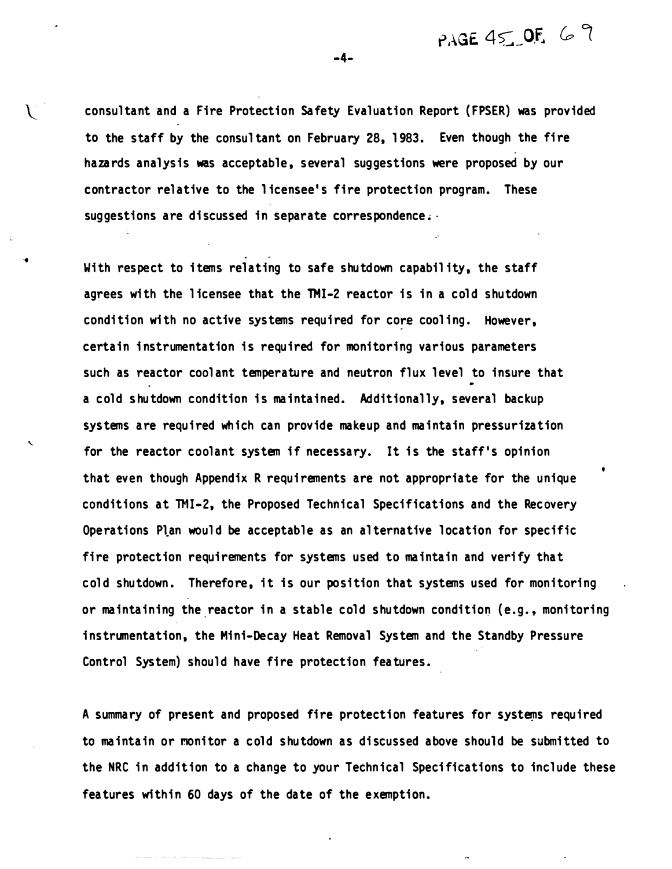PAGE 45 OF  $69$ 

consul tant and a Fire Protection Safety Evaluation Report ( FPSER) was provided to the staff by the consul tant on February 28, 1 983. Even though the fire hazards analysis was acceptable, several suggestions were proposed by our contractor relative to the l icensee 's fire protection program. These suggestions are discussed in separate correspondence.  $\cdot$ 

.

..

'

With respect to items relating to safe shutdown capability, the staff agrees with the licensee that the TMI-2 reactor is in a cold shutdown condition with no active systems required for core cooling. However, certain instrumentation is required for monitoring various parameters such as reactor coolant temperature and neutron flux level to insure that a cold shutdown condition is maintained. Additionally, several backup systems are required which can provide makeup and maintain pressurization for the reactor coolant system if necessary. It is the staff's opinion that even though Appendix R requirements are not appropriate for the unique conditions at TMI-2, the Proposed Technical Specifications and the Recovery Operations Plan would be acceptable as an alternative location for specific fire protection requirements for systems used to maintain and verify that cold shutdown. Therefore, it is our position that systems used for monitoring or maintaining the reactor in a stable cold shutdown condition (e.g., monitoring i nstrumentation, the Mini-Decay Heat Removal System and the Standby Pressure Control System) should have fire protection features.

A summary of present and proposed fire protection features for systems required to maintain or monitor a cold shutdown as discussed above should be submitted to the NRC in addition to a change to your Technical Speci fications to include these features within 60 days of the date of the exemption.

-4-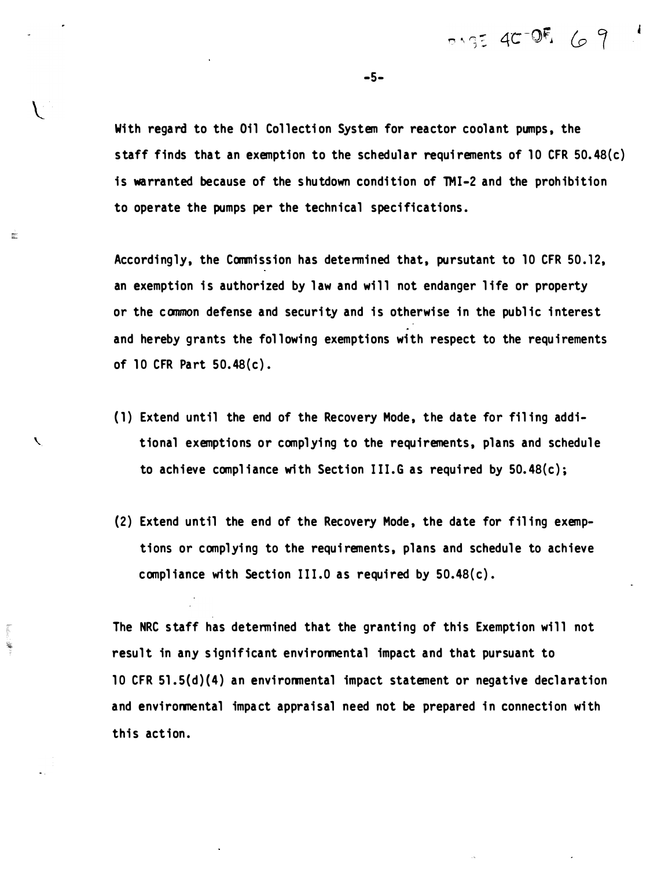With regard to the Oil Collection System for reactor coolant pumps, the staff finds that an exemption to the schedular requi rements of 10 CFR 50. 48(c) is warranted because of the shutdown condition of TMI-2 and the prohibition to operate the pumps per the technical specifications.

Accordingly, the Commission has determined that, pursutant to 10 CFR 50.12, an exemption is authorized by law and will not endanger life or property or the common defense and security and is otherwise in the public interest and hereby grants the following exemptions with respect to the requirements of 10 CFR Part 50. 48(c) .

i.<br>Bio

不可以 ۴

- (1) Extend until the end of the Recovery Mode, the date for filing additional exemptions or complying to the requirements, plans and schedule to achieve compliance with Section III.G as required by  $50.48(c)$ ;
- $(2)$  Extend until the end of the Recovery Mode, the date for filing exemptions or complying to the requirements, plans and schedule to achieve compliance with Section III.0 as required by  $50.48(c)$ .

The NRC staff has determined that the granting of this Exemption will not result in any significant environmental impact and that pursuant to 10 CFR 51.5(d)(4) an environmental impact statement or negative declaration and environmental impact appraisal need not be prepared in connection with this action.

-5-

 $7.954C-0.69$